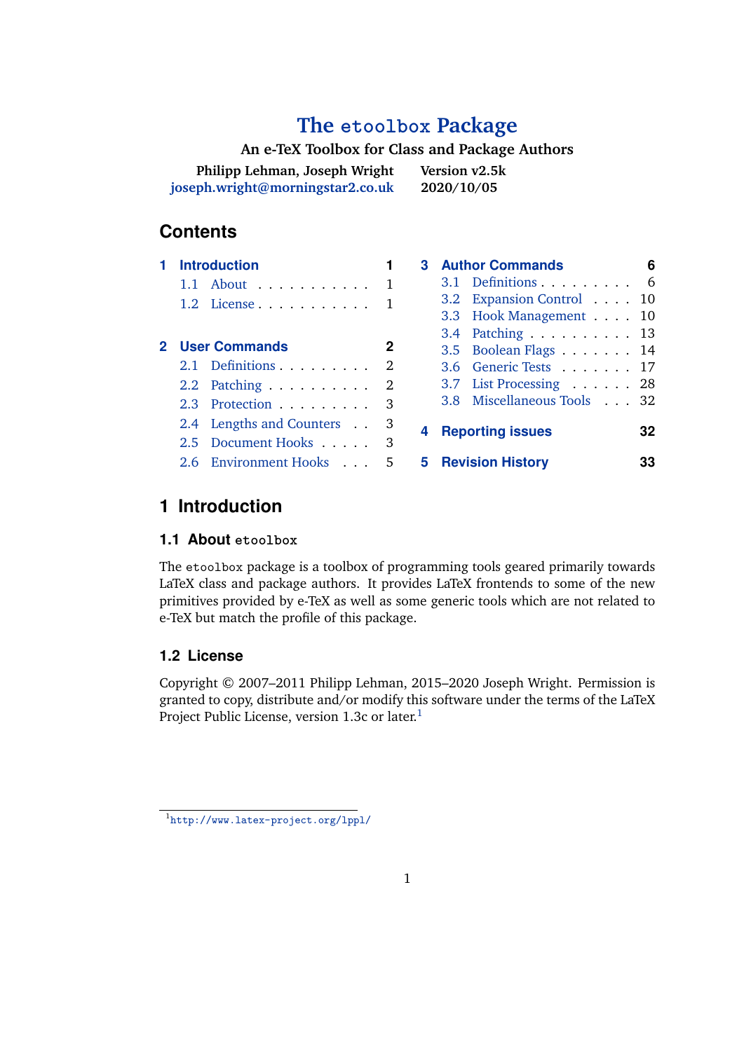# **The [etoolbox](http://www.ctan.org/pkg/etoolbox/) Package**

# **An e-TeX Toolbox for Class and Package Authors**

<span id="page-0-0"></span>

| Philipp Lehman, Joseph Wright    | Version v2.5k |
|----------------------------------|---------------|
| joseph.wright@morningstar2.co.uk | 2020/10/05    |

# **Contents**

|  | <b>Introduction</b>                   |   |   | <b>3</b> Author Commands   | 6  |
|--|---------------------------------------|---|---|----------------------------|----|
|  | 1.1 About 1                           |   |   | 3.1 Definitions 6          |    |
|  | $1.2$ License 1                       |   |   | 3.2 Expansion Control 10   |    |
|  |                                       |   |   | 3.3 Hook Management 10     |    |
|  |                                       |   |   | 3.4 Patching 13            |    |
|  | 2 User Commands                       | 2 |   | 3.5 Boolean Flags 14       |    |
|  | 2.1 Definitions 2                     |   |   | 3.6 Generic Tests 17       |    |
|  | 2.2 Patching $\ldots \ldots \ldots 2$ |   |   | 3.7 List Processing 28     |    |
|  | 2.3 Protection                        |   |   | 3.8 Miscellaneous Tools 32 |    |
|  | 2.4 Lengths and Counters              |   | 4 | <b>Reporting issues</b>    | 32 |
|  | 2.5 Document Hooks                    |   |   |                            |    |
|  | 2.6 Environment Hooks                 | 5 |   | <b>5</b> Revision History  | 33 |

# **1 Introduction**

# **1.1 About etoolbox**

The etoolbox package is a toolbox of programming tools geared primarily towards LaTeX class and package authors. It provides LaTeX frontends to some of the new primitives provided by e-TeX as well as some generic tools which are not related to e-TeX but match the profile of this package.

# **1.2 License**

Copyright © 2007–2011 Philipp Lehman, 2015–2020 Joseph Wright. Permission is granted to copy, distribute and/or modify this software under the terms of the LaTeX Project Public License, version 1.3c or later.<sup>1</sup>

<sup>1</sup> <http://www.latex-project.org/lppl/>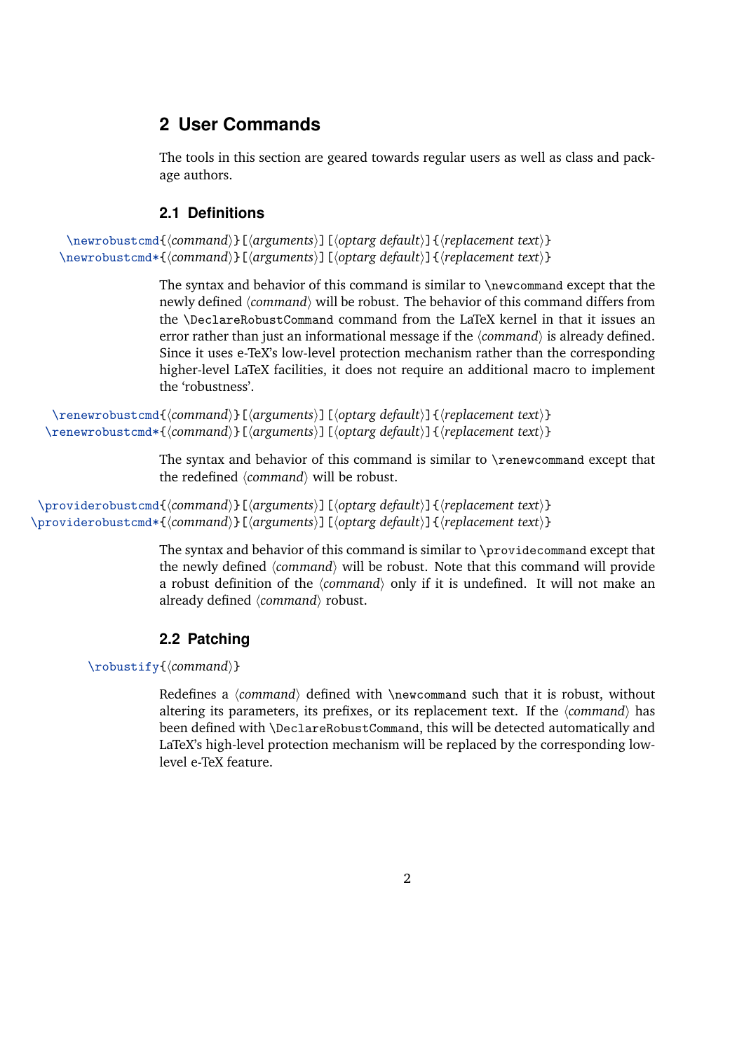# <span id="page-1-0"></span>**2 User Commands**

The tools in this section are geared towards regular users as well as class and package authors.

# **2.1 Definitions**

```
\newrobustcmd{(command)}[{arguments}][{optarg default}]{{replacement text}}
\newrobustcmd*{\command}}[\arguments}][\optarg default}]{\replacement text}}
```
The syntax and behavior of this command is similar to \newcommand except that the newly defined  $\langle command \rangle$  will be robust. The behavior of this command differs from the \DeclareRobustCommand command from the LaTeX kernel in that it issues an error rather than just an informational message if the *(command)* is already defined. Since it uses e-TeX's low-level protection mechanism rather than the corresponding higher-level LaTeX facilities, it does not require an additional macro to implement the 'robustness'.

```
\renewrobustcmd{hcommandi}[hargumentsi][hoptarg defaulti]{hreplacement texti}
\renewrobustcmd*{\command}}[\arguments}][\optarg default}]{\replacement text}}
```
The syntax and behavior of this command is similar to \renewcommand except that the redefined *(command)* will be robust.

```
\providerobustcmd{(command)}[(arguments)][(optarg default)]{{replacement text}}
\providerobustcmd*{\/command}}[\/arguments}][\/optarg default}]{\/replacement text}}
```
The syntax and behavior of this command is similar to \providecommand except that the newly defined  $\langle command \rangle$  will be robust. Note that this command will provide a robust definition of the *(command)* only if it is undefined. It will not make an already defined  $\langle command \rangle$  robust.

# **2.2 Patching**

\robustify{*(command)*}

Redefines a  $\langle$ command $\rangle$  defined with \newcommand such that it is robust, without altering its parameters, its prefixes, or its replacement text. If the  $\langle command \rangle$  has been defined with \DeclareRobustCommand, this will be detected automatically and LaTeX's high-level protection mechanism will be replaced by the corresponding lowlevel e-TeX feature.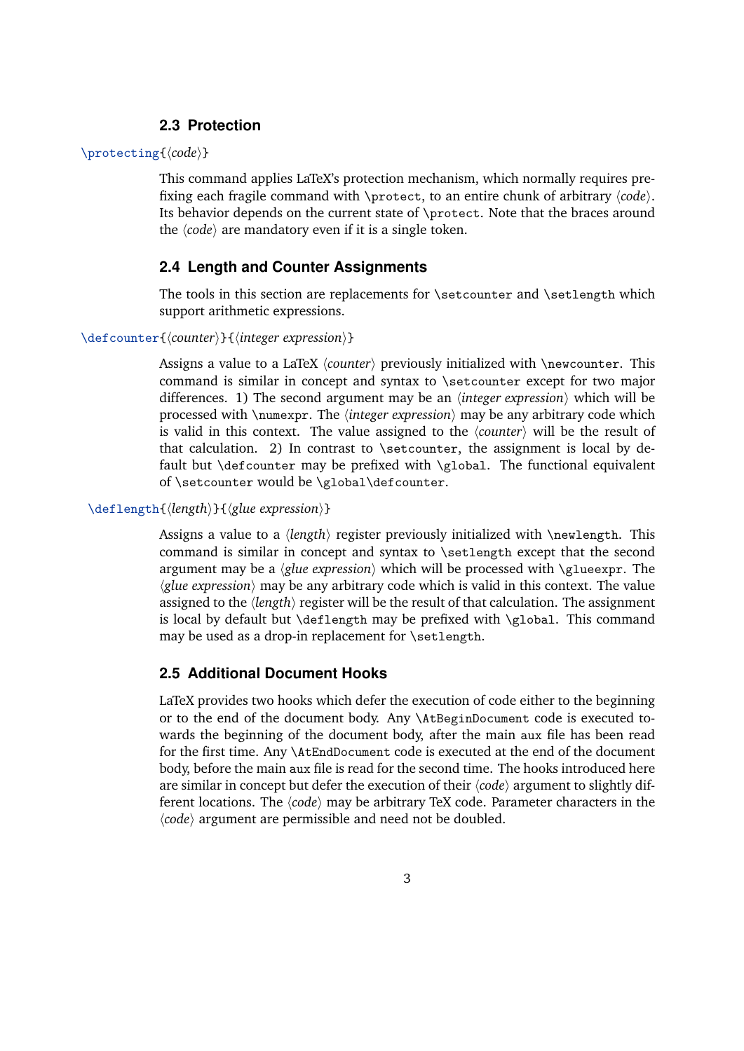### **2.3 Protection**

#### <span id="page-2-0"></span>\protecting{*(code)*}

This command applies LaTeX's protection mechanism, which normally requires prefixing each fragile command with \protect, to an entire chunk of arbitrary  $\langle code \rangle$ . Its behavior depends on the current state of \protect. Note that the braces around the  $\langle code \rangle$  are mandatory even if it is a single token.

# **2.4 Length and Counter Assignments**

The tools in this section are replacements for \setcounter and \setlength which support arithmetic expressions.

#### \defcounter{*\counter*}}{*\integer expression*}}

Assigns a value to a LaTeX *(counter)* previously initialized with *\newcounter*. This command is similar in concept and syntax to \setcounter except for two major differences. 1) The second argument may be an *(integer expression)* which will be processed with  $\text{number}$ . The *linteger expression*) may be any arbitrary code which is valid in this context. The value assigned to the  $\langle counter \rangle$  will be the result of that calculation. 2) In contrast to \setcounter, the assignment is local by default but \defcounter may be prefixed with \global. The functional equivalent of \setcounter would be \global\defcounter.

#### \deflength{\length\}{\glue expression\}

Assigns a value to a *(length)* register previously initialized with \newlength. This command is similar in concept and syntax to \setlength except that the second argument may be a  $\langle$ *glue expression* $\rangle$  which will be processed with  $\langle$ *glueexpr.* The  $\langle$ *glue expression* $\rangle$  may be any arbitrary code which is valid in this context. The value assigned to the *(length)* register will be the result of that calculation. The assignment is local by default but \deflength may be prefixed with \global. This command may be used as a drop-in replacement for \setlength.

#### **2.5 Additional Document Hooks**

LaTeX provides two hooks which defer the execution of code either to the beginning or to the end of the document body. Any \AtBeginDocument code is executed towards the beginning of the document body, after the main aux file has been read for the first time. Any \AtEndDocument code is executed at the end of the document body, before the main aux file is read for the second time. The hooks introduced here are similar in concept but defer the execution of their  $\langle code \rangle$  argument to slightly different locations. The *(code)* may be arbitrary TeX code. Parameter characters in the  $\langle code \rangle$  argument are permissible and need not be doubled.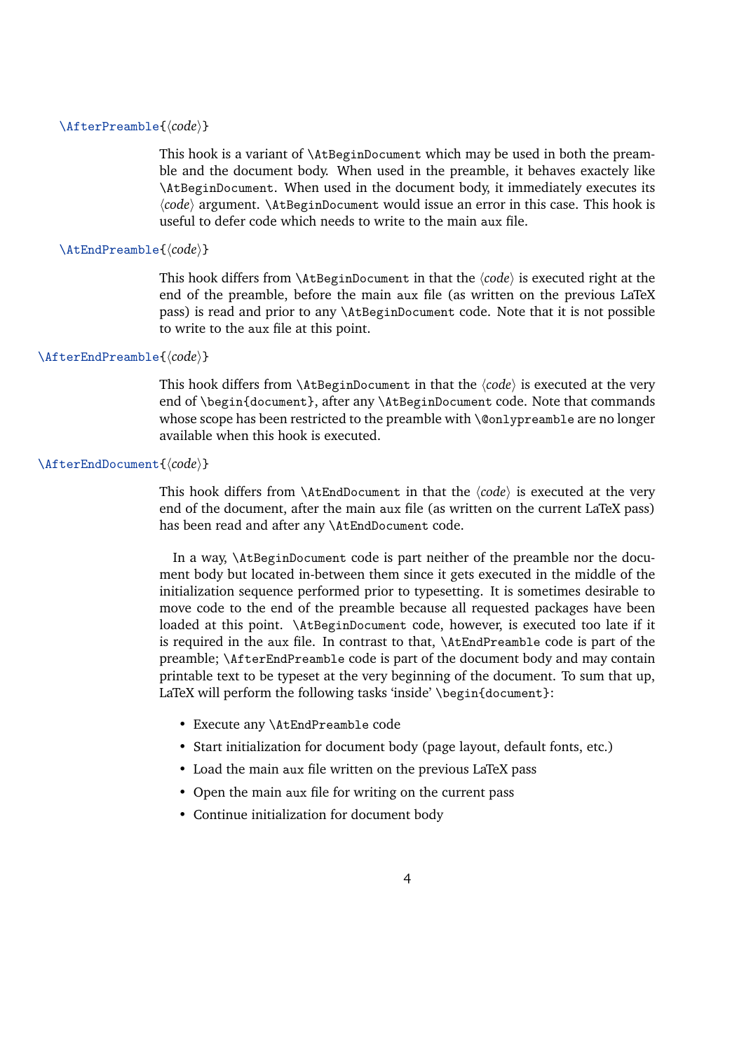#### \AfterPreamble{*\code*}}

This hook is a variant of \AtBeginDocument which may be used in both the preamble and the document body. When used in the preamble, it behaves exactely like \AtBeginDocument. When used in the document body, it immediately executes its h*code*i argument. \AtBeginDocument would issue an error in this case. This hook is useful to defer code which needs to write to the main aux file.

#### \AtEndPreamble{*\code*}}

This hook differs from  $\Lambda t$ BeginDocument in that the  $\langle code \rangle$  is executed right at the end of the preamble, before the main aux file (as written on the previous LaTeX pass) is read and prior to any \AtBeginDocument code. Note that it is not possible to write to the aux file at this point.

#### \AfterEndPreamble{ $\langle code \rangle$ }

This hook differs from  $\Lambda t$ BeginDocument in that the  $\langle code \rangle$  is executed at the very end of \begin{document}, after any \AtBeginDocument code. Note that commands whose scope has been restricted to the preamble with \@onlypreamble are no longer available when this hook is executed.

#### \AfterEndDocument{*(code*)}

This hook differs from  $\Lambda$ tEndDocument in that the  $\langle code \rangle$  is executed at the very end of the document, after the main aux file (as written on the current LaTeX pass) has been read and after any \AtEndDocument code.

In a way, \AtBeginDocument code is part neither of the preamble nor the document body but located in-between them since it gets executed in the middle of the initialization sequence performed prior to typesetting. It is sometimes desirable to move code to the end of the preamble because all requested packages have been loaded at this point. \AtBeginDocument code, however, is executed too late if it is required in the aux file. In contrast to that, \AtEndPreamble code is part of the preamble; \AfterEndPreamble code is part of the document body and may contain printable text to be typeset at the very beginning of the document. To sum that up, LaTeX will perform the following tasks 'inside' \begin{document}:

- Execute any \AtEndPreamble code
- Start initialization for document body (page layout, default fonts, etc.)
- Load the main aux file written on the previous LaTeX pass
- Open the main aux file for writing on the current pass
- Continue initialization for document body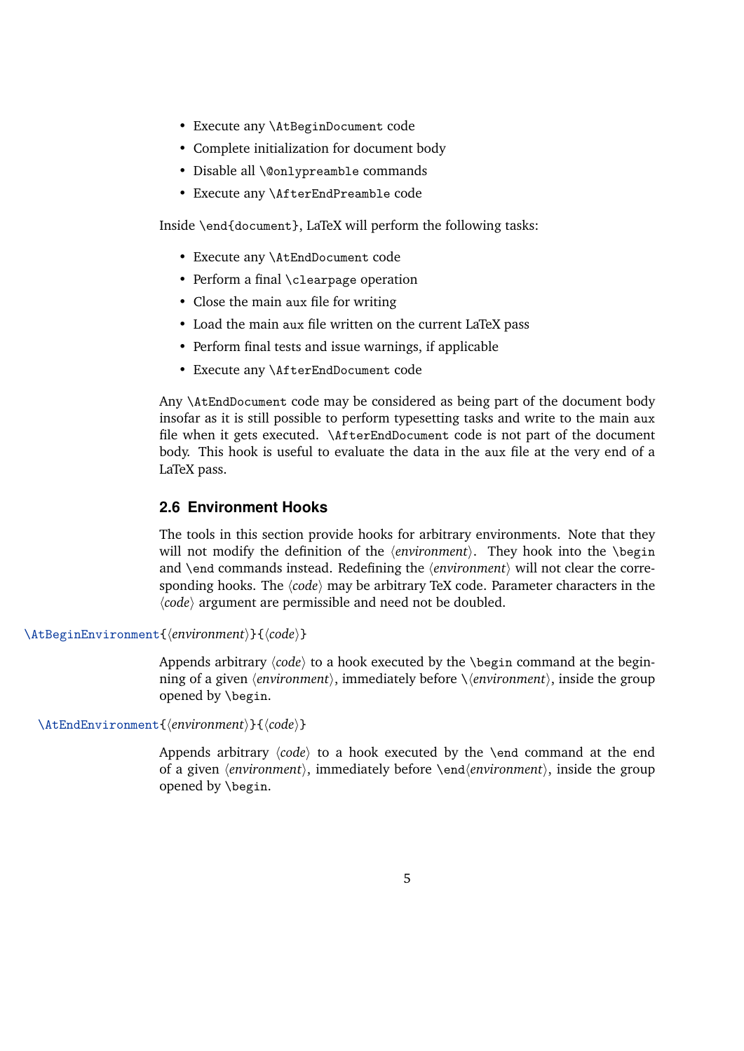- <span id="page-4-0"></span>• Execute any \AtBeginDocument code
- Complete initialization for document body
- Disable all \@onlypreamble commands
- Execute any \AfterEndPreamble code

Inside \end{document}, LaTeX will perform the following tasks:

- Execute any \AtEndDocument code
- Perform a final \clearpage operation
- Close the main aux file for writing
- Load the main aux file written on the current LaTeX pass
- Perform final tests and issue warnings, if applicable
- Execute any \AfterEndDocument code

Any \AtEndDocument code may be considered as being part of the document body insofar as it is still possible to perform typesetting tasks and write to the main aux file when it gets executed. \AfterEndDocument code is not part of the document body. This hook is useful to evaluate the data in the aux file at the very end of a LaTeX pass.

#### **2.6 Environment Hooks**

The tools in this section provide hooks for arbitrary environments. Note that they will not modify the definition of the  $\{environment\}$ . They hook into the *\begin* and \end commands instead. Redefining the  $\langle environment \rangle$  will not clear the corresponding hooks. The  $\langle code \rangle$  may be arbitrary TeX code. Parameter characters in the  $\langle code \rangle$  argument are permissible and need not be doubled.

\AtBeginEnvironment{*\environment*}}{*\code*}}

Appends arbitrary  $\langle code \rangle$  to a hook executed by the **\begin command at the begin**ning of a given h*environment*i, immediately before \h*environment*i, inside the group opened by \begin.

\AtEndEnvironment{*\environment*}}{*\code*}}

Appends arbitrary  $\langle code \rangle$  to a hook executed by the **\end** command at the end of a given  $\langle environment \rangle$ , immediately before  $\langle environment \rangle$ , inside the group opened by \begin.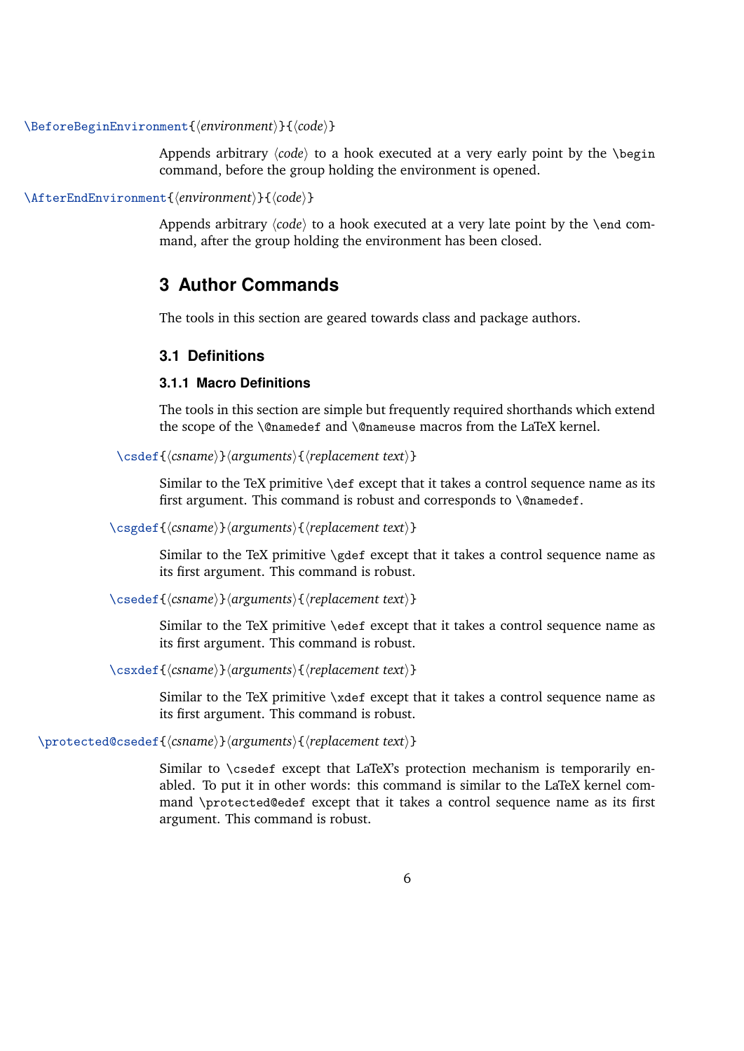<span id="page-5-0"></span>\BeforeBeginEnvironment{h*environment*i}{h*code*i}

Appends arbitrary  $\langle code \rangle$  to a hook executed at a very early point by the  $\begin{bmatrix} begin \end{bmatrix}$ command, before the group holding the environment is opened.

\AfterEndEnvironment{\*environment*}}{\*code*}}

Appends arbitrary  $\langle code \rangle$  to a hook executed at a very late point by the \end command, after the group holding the environment has been closed.

# **3 Author Commands**

The tools in this section are geared towards class and package authors.

### **3.1 Definitions**

#### **3.1.1 Macro Definitions**

The tools in this section are simple but frequently required shorthands which extend the scope of the \@namedef and \@nameuse macros from the LaTeX kernel.

\csdef{h*csname*i}h*arguments*i{h*replacement text*i}

Similar to the TeX primitive \def except that it takes a control sequence name as its first argument. This command is robust and corresponds to \@namedef.

\csgdef{h*csname*i}h*arguments*i{h*replacement text*i}

Similar to the TeX primitive \gdef except that it takes a control sequence name as its first argument. This command is robust.

\csedef{h*csname*i}h*arguments*i{h*replacement text*i}

Similar to the TeX primitive \edef except that it takes a control sequence name as its first argument. This command is robust.

\csxdef{h*csname*i}h*arguments*i{h*replacement text*i}

Similar to the TeX primitive \xdef except that it takes a control sequence name as its first argument. This command is robust.

\protected@csedef{h*csname*i}h*arguments*i{h*replacement text*i}

Similar to \csedef except that LaTeX's protection mechanism is temporarily enabled. To put it in other words: this command is similar to the LaTeX kernel command \protected@edef except that it takes a control sequence name as its first argument. This command is robust.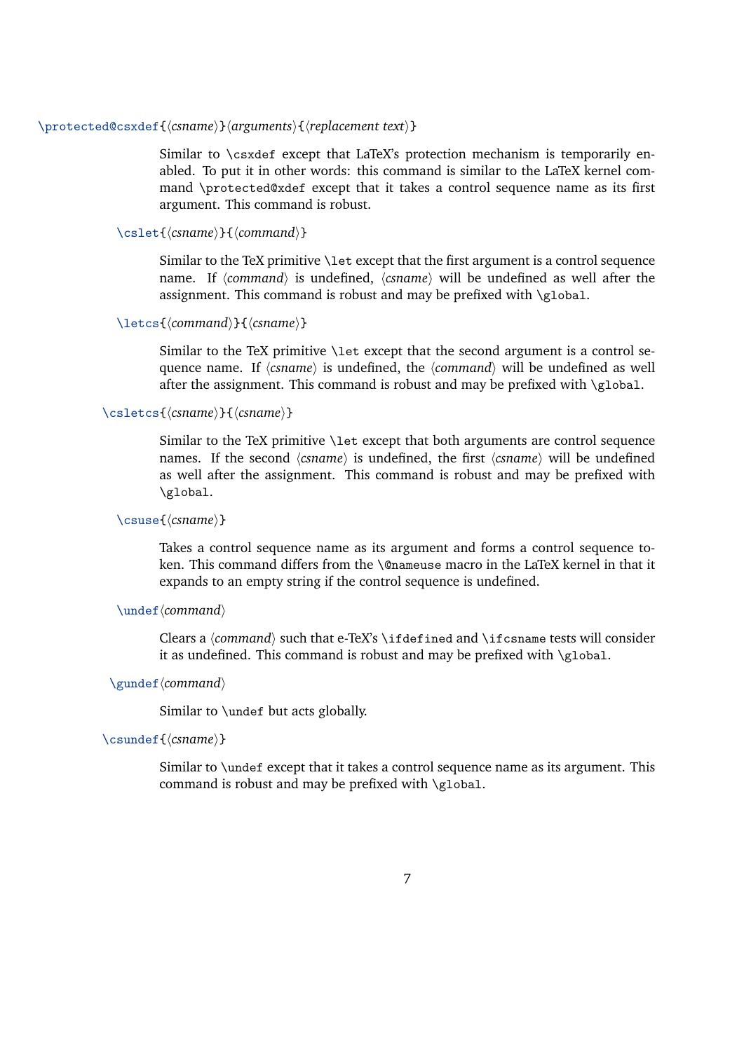#### \protected@csxdef{h*csname*i}h*arguments*i{h*replacement text*i}

Similar to \csxdef except that LaTeX's protection mechanism is temporarily enabled. To put it in other words: this command is similar to the LaTeX kernel command \protected@xdef except that it takes a control sequence name as its first argument. This command is robust.

### \cslet{*(csname*)}{*(command)*}

Similar to the TeX primitive \let except that the first argument is a control sequence name. If  $\langle command \rangle$  is undefined,  $\langle channel \rangle$  will be undefined as well after the assignment. This command is robust and may be prefixed with  $\gtrsim$  global.

#### \letcs{*\command*}}{*\csname*}}

Similar to the TeX primitive \let except that the second argument is a control sequence name. If  $\langle$ *csname* $\rangle$  is undefined, the  $\langle$ *command* $\rangle$  will be undefined as well after the assignment. This command is robust and may be prefixed with  $\gtrsim$  10bal.

#### \csletcs{\*csname*}}{\*csname*}}

Similar to the TeX primitive \let except that both arguments are control sequence names. If the second *(csname)* is undefined, the first *(csname)* will be undefined as well after the assignment. This command is robust and may be prefixed with \global.

#### \csuse{*(csname*)}

Takes a control sequence name as its argument and forms a control sequence token. This command differs from the \@nameuse macro in the LaTeX kernel in that it expands to an empty string if the control sequence is undefined.

#### \undef *(command)*

Clears a *(command)* such that e-TeX's \ifdefined and \ifcsname tests will consider it as undefined. This command is robust and may be prefixed with  $\gtrsim$  10 bal.

#### \gundef *(command)*

Similar to \undef but acts globally.

#### \csundef{\*csname*}}

Similar to \undef except that it takes a control sequence name as its argument. This command is robust and may be prefixed with \global.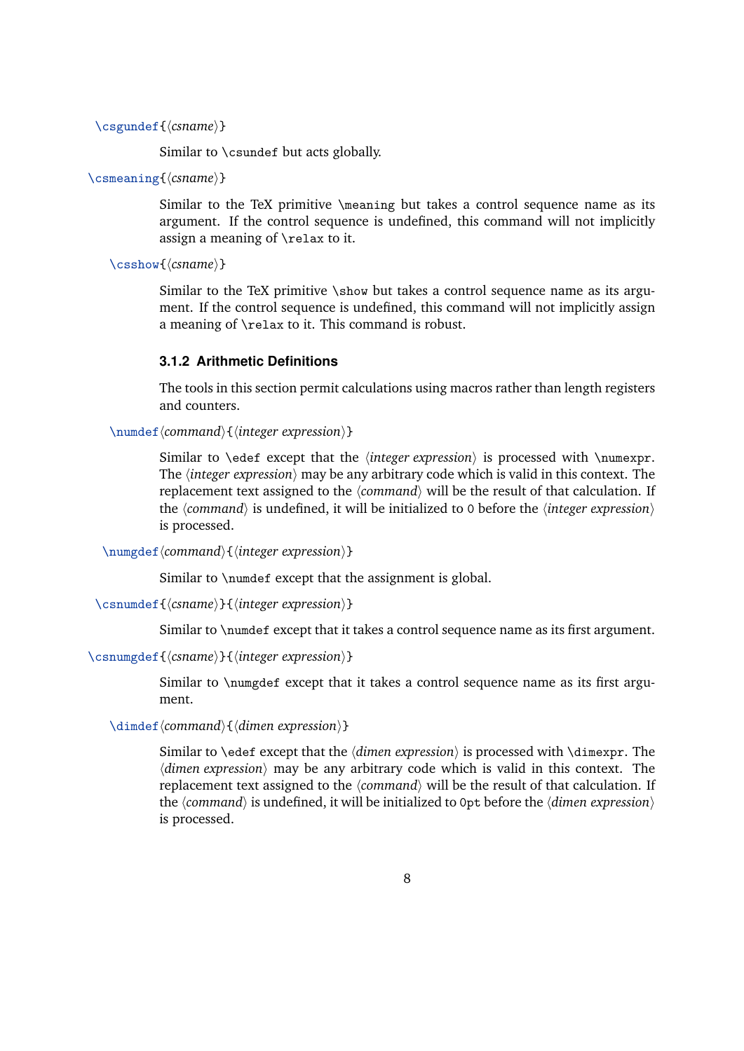```
\csgundef{(csname)}
```
Similar to \csundef but acts globally.

```
\csmeaning{\csname}}
```
Similar to the TeX primitive \meaning but takes a control sequence name as its argument. If the control sequence is undefined, this command will not implicitly assign a meaning of \relax to it.

```
\csshow{(csname)}
```
Similar to the TeX primitive \show but takes a control sequence name as its argument. If the control sequence is undefined, this command will not implicitly assign a meaning of \relax to it. This command is robust.

#### **3.1.2 Arithmetic Definitions**

The tools in this section permit calculations using macros rather than length registers and counters.

\numdef*\command*}{*\integer expression*}}

Similar to \edef except that the *linteger expression* is processed with \numexpr. The *linteger expression*) may be any arbitrary code which is valid in this context. The replacement text assigned to the  $\langle command \rangle$  will be the result of that calculation. If the  $\langle command \rangle$  is undefined, it will be initialized to 0 before the  $\langle integer$  expression $\rangle$ is processed.

\numgdef*\command*}{*\integer expression*}}

Similar to \numdef except that the assignment is global.

```
\csnumdef{\csname}}{\integer expression}}
```
Similar to \numdef except that it takes a control sequence name as its first argument.

```
\csnumgdef{\csname}}{\integer expression}}
```
Similar to \numgdef except that it takes a control sequence name as its first argument.

\dimdef*\command*}{*\dimen expression*}}

Similar to \edef except that the *\dimen expression*} is processed with \dimexpr. The *dimen expression*) may be any arbitrary code which is valid in this context. The replacement text assigned to the *(command)* will be the result of that calculation. If the  $\langle$ command $\rangle$  is undefined, it will be initialized to 0pt before the  $\langle$ *dimen expression* $\rangle$ is processed.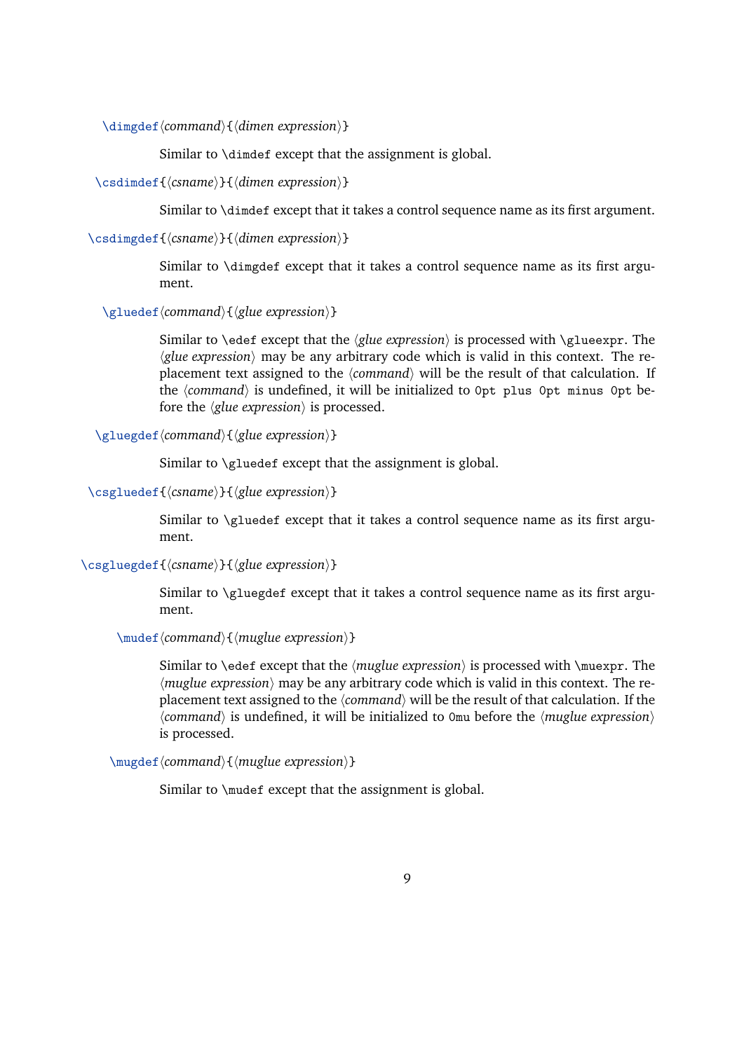\dimgdef*\command*}{*\dimen expression*}}

Similar to \dimdef except that the assignment is global.

\csdimdef{\*csname*}}{\*dimen expression*}}

Similar to \dimdef except that it takes a control sequence name as its first argument.

\csdimgdef{\*csname*}}{\*dimen expression*}}

Similar to \dimgdef except that it takes a control sequence name as its first argument.

\gluedef*\command*}{*\glue expression*}}

Similar to \edef except that the  $\langle$ *glue expression* $\rangle$  is processed with \glueexpr. The  $\langle$ *glue expression* $\rangle$  may be any arbitrary code which is valid in this context. The replacement text assigned to the  $\langle command \rangle$  will be the result of that calculation. If the *(command)* is undefined, it will be initialized to 0pt plus 0pt minus 0pt before the  $\langle$ *glue expression* $\rangle$  is processed.

\gluegdef*\command*}{*\glue expression*}}

Similar to \gluedef except that the assignment is global.

\csgluedef{\*csname*}}{\*glue expression*}}

Similar to \gluedef except that it takes a control sequence name as its first argument.

\csgluegdef{\*csname*}}{\*glue expression*}}

Similar to \gluegdef except that it takes a control sequence name as its first argument.

\mudefh*command*i{h*muglue expression*i}

Similar to \edef except that the *{muglue expression}* is processed with \muexpr. The  $\langle$ muglue expression $\rangle$  may be any arbitrary code which is valid in this context. The replacement text assigned to the  $\langle command \rangle$  will be the result of that calculation. If the  $\langle$ command $\rangle$  is undefined, it will be initialized to 0mu before the  $\langle$ muglue expression $\rangle$ is processed.

\mugdef*\command*}{*\muglue expression*}}

Similar to \mudef except that the assignment is global.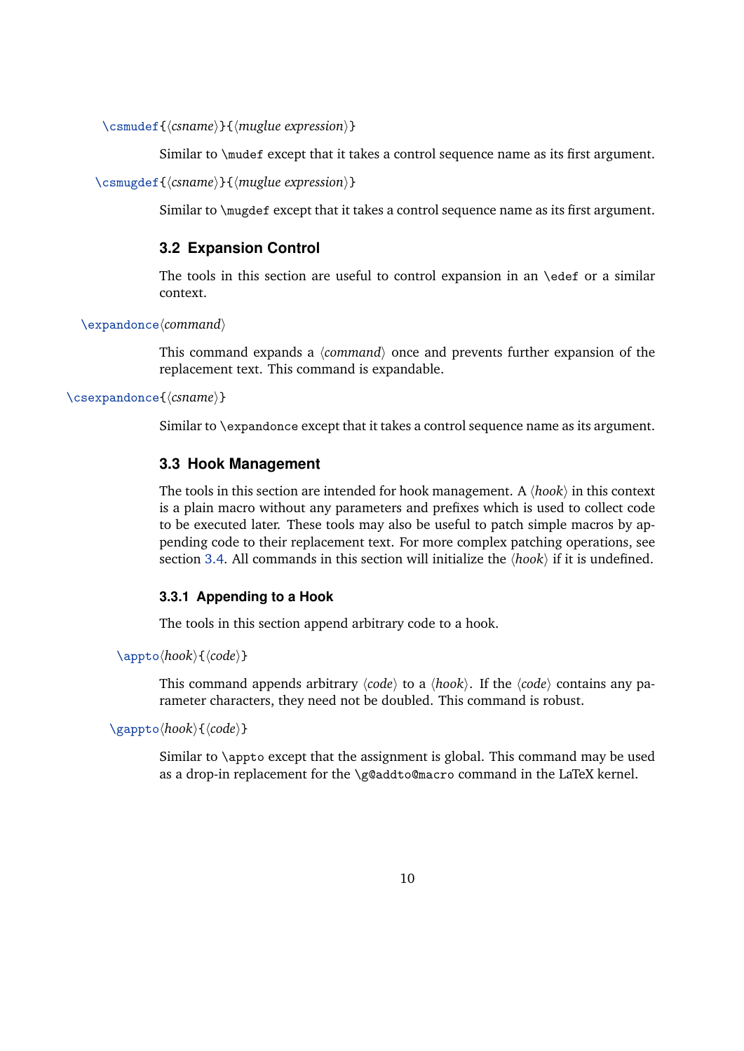<span id="page-9-0"></span>\csmudef{\*csname*}}{\*muglue expression*}}

Similar to \mudef except that it takes a control sequence name as its first argument.

```
\csmugdef{\csname}}{\muglue expression}}
```
Similar to \mugdef except that it takes a control sequence name as its first argument.

# **3.2 Expansion Control**

The tools in this section are useful to control expansion in an \edef or a similar context.

\expandonce/*command* 

This command expands a  $\langle$ *command* $\rangle$  once and prevents further expansion of the replacement text. This command is expandable.

\csexpandonce{*\csname*}}

Similar to \expandonce except that it takes a control sequence name as its argument.

# **3.3 Hook Management**

The tools in this section are intended for hook management. A  $\langle hook \rangle$  in this context is a plain macro without any parameters and prefixes which is used to collect code to be executed later. These tools may also be useful to patch simple macros by appending code to their replacement text. For more complex patching operations, see section [3.4.](#page-12-0) All commands in this section will initialize the  $\langle hook \rangle$  if it is undefined.

#### **3.3.1 Appending to a Hook**

The tools in this section append arbitrary code to a hook.

\appto\hook\{\code\}

This command appends arbitrary  $\langle code \rangle$  to a  $\langle hook \rangle$ . If the  $\langle code \rangle$  contains any parameter characters, they need not be doubled. This command is robust.

\gappto\hook\{\code\}

Similar to \appto except that the assignment is global. This command may be used as a drop-in replacement for the \g@addto@macro command in the LaTeX kernel.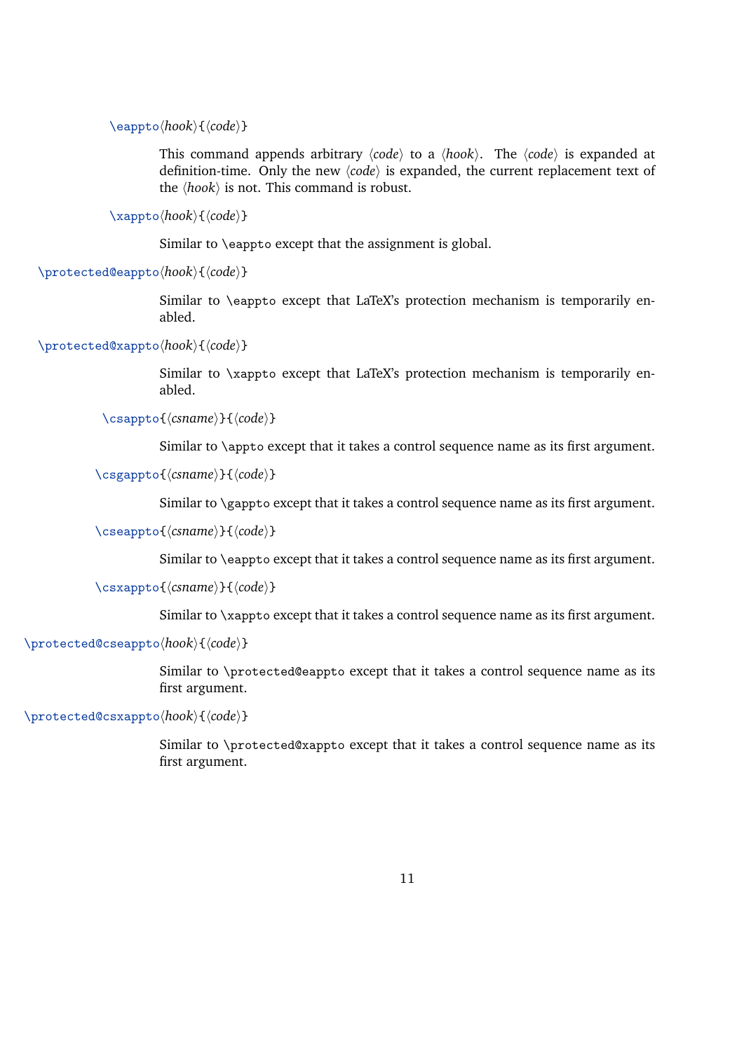\eappto\*hook*\{\code\}

This command appends arbitrary  $\langle code \rangle$  to a  $\langle hook \rangle$ . The  $\langle code \rangle$  is expanded at definition-time. Only the new  $\langle code \rangle$  is expanded, the current replacement text of the  $\langle \textit{hook} \rangle$  is not. This command is robust.

\xappto\hook\{\code\}

Similar to \eappto except that the assignment is global.

\protected@eappto\hook\{\code\}

Similar to \eappto except that LaTeX's protection mechanism is temporarily enabled.

\protected@xappto\hook\{\code\}

Similar to \xappto except that LaTeX's protection mechanism is temporarily enabled.

\csappto{*\csname*}}{*\code*}}

Similar to \appto except that it takes a control sequence name as its first argument.

\csgappto{*\csname*}}{*\code*}}

Similar to \gappto except that it takes a control sequence name as its first argument.

\cseappto{*\csname*}}{*\code*}}

Similar to \eappto except that it takes a control sequence name as its first argument.

\csxappto{*\csname*}}{*\code*}}

Similar to \xappto except that it takes a control sequence name as its first argument.

\protected@cseappto\hook\{\code\}

Similar to \protected@eappto except that it takes a control sequence name as its first argument.

\protected@csxappto\hook\{\code\}

Similar to \protected@xappto except that it takes a control sequence name as its first argument.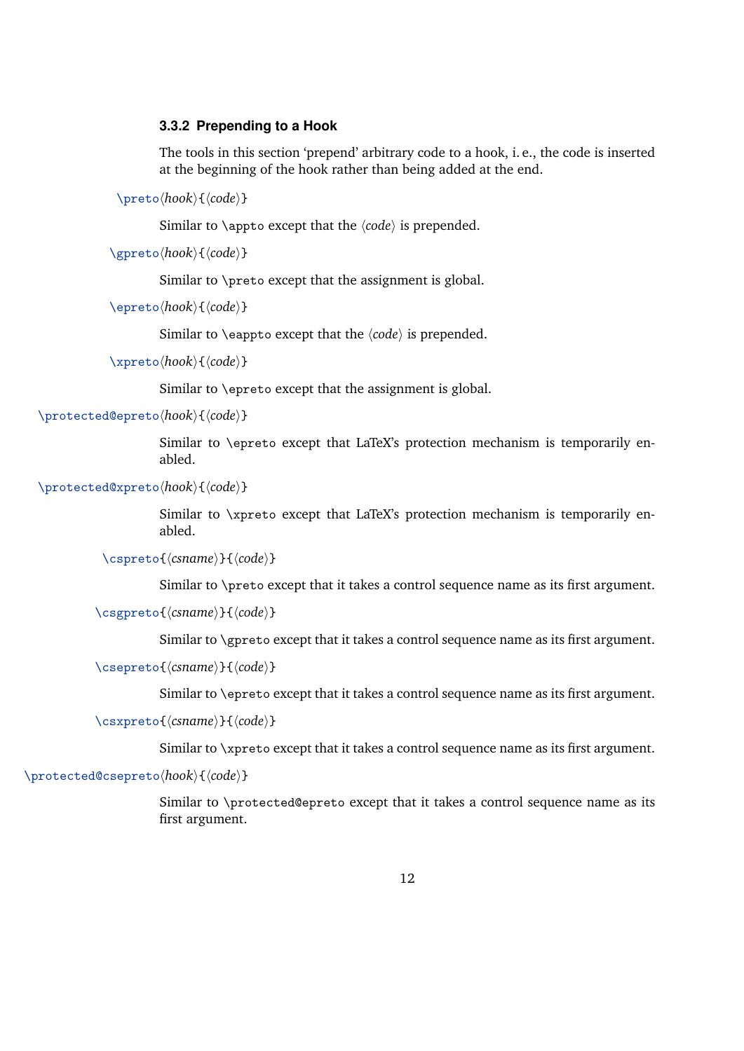#### <span id="page-11-0"></span>**3.3.2 Prepending to a Hook**

The tools in this section 'prepend' arbitrary code to a hook, i. e., the code is inserted at the beginning of the hook rather than being added at the end.

\preto\*hook*\{\code\}

Similar to  $\alpha$  except that the  $\langle code \rangle$  is prepended.

\gpreto\hook\{\code\}

Similar to \preto except that the assignment is global.

\epreto\hook\{\code\}

Similar to  $\epsilon$  eappto except that the  $\langle code \rangle$  is prepended.

\xpreto\hook\{\code\}

Similar to \epreto except that the assignment is global.

\protected@epreto\hook\{\code\}

Similar to \epreto except that LaTeX's protection mechanism is temporarily enabled.

\protected@xpreto\hook\{\code\}

Similar to \xpreto except that LaTeX's protection mechanism is temporarily enabled.

```
\cspreto{\csname}}{\code}}
```
Similar to \preto except that it takes a control sequence name as its first argument.

\csgpreto{*\csname*}}{*\code*}}

Similar to \gpreto except that it takes a control sequence name as its first argument.

\csepreto{*\csname*}}{*\code*}}

Similar to \epreto except that it takes a control sequence name as its first argument.

\csxpreto{*\csname*}}{*\code*}}

Similar to \xpreto except that it takes a control sequence name as its first argument.

\protected@csepreto\hook\{\code\}

Similar to \protected@epreto except that it takes a control sequence name as its first argument.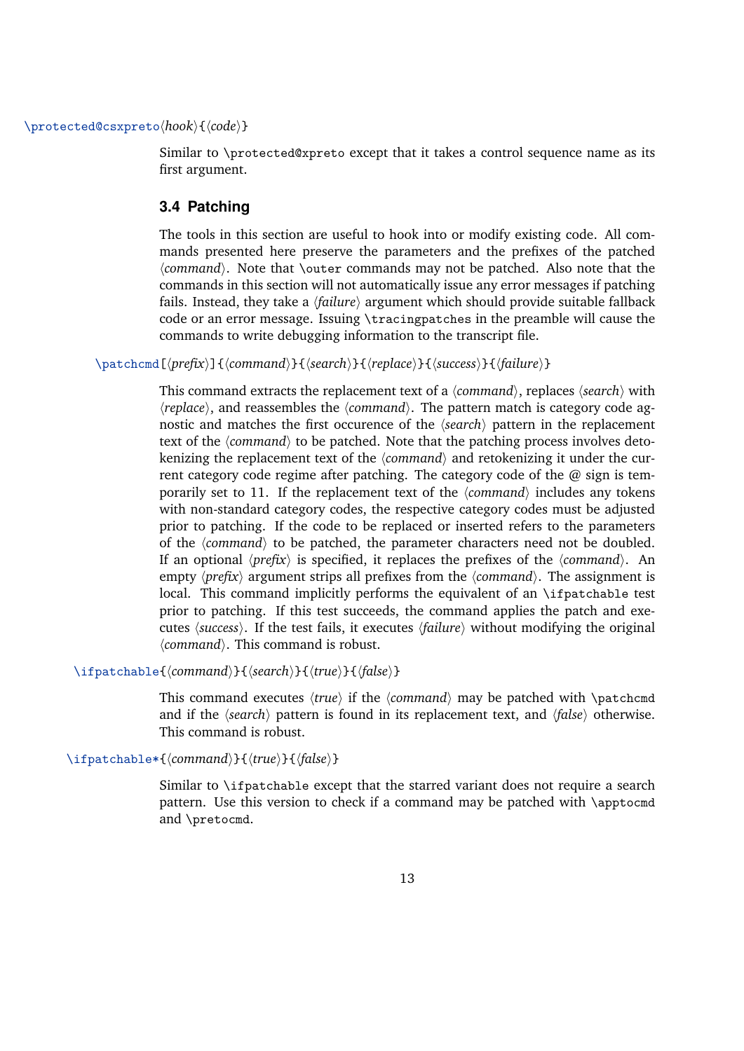#### <span id="page-12-0"></span>\protected@csxpreto\hook\{\code\}

Similar to \protected@xpreto except that it takes a control sequence name as its first argument.

#### **3.4 Patching**

The tools in this section are useful to hook into or modify existing code. All commands presented here preserve the parameters and the prefixes of the patched h*command*i. Note that \outer commands may not be patched. Also note that the commands in this section will not automatically issue any error messages if patching fails. Instead, they take a *{failure}* argument which should provide suitable fallback code or an error message. Issuing \tracingpatches in the preamble will cause the commands to write debugging information to the transcript file.

\patchcmd[ $\langle prefix \rangle$ ]{ $\langle command \rangle$ }{ $\langle search \rangle$ }{ $\langle request \rangle$ }{ $\langle success \rangle$ }{ $\langle failure \rangle$ }

This command extracts the replacement text of a  $\langle command \rangle$ , replaces  $\langle search \rangle$  with  $\langle$ *replace* $\rangle$ , and reassembles the  $\langle$ *command* $\rangle$ . The pattern match is category code agnostic and matches the first occurence of the  $\langle search \rangle$  pattern in the replacement text of the  $\langle command \rangle$  to be patched. Note that the patching process involves detokenizing the replacement text of the *(command)* and retokenizing it under the current category code regime after patching. The category code of the  $\omega$  sign is temporarily set to 11. If the replacement text of the  $\langle command \rangle$  includes any tokens with non-standard category codes, the respective category codes must be adjusted prior to patching. If the code to be replaced or inserted refers to the parameters of the *(command)* to be patched, the parameter characters need not be doubled. If an optional  $\langle prefix \rangle$  is specified, it replaces the prefixes of the  $\langle command \rangle$ . An empty  $\langle prefix \rangle$  argument strips all prefixes from the  $\langle command \rangle$ . The assignment is local. This command implicitly performs the equivalent of an \ifpatchable test prior to patching. If this test succeeds, the command applies the patch and executes *(success)*. If the test fails, it executes *(failure)* without modifying the original *(command)*. This command is robust.

\ifpatchable{*\command*}}{*\search*}}{*\true*}}{*\false*}}

This command executes  $\langle true \rangle$  if the  $\langle command \rangle$  may be patched with  $\lambda$  patchcmd and if the  $\langle search \rangle$  pattern is found in its replacement text, and  $\langle false \rangle$  otherwise. This command is robust.

\ifpatchable\*{\*command*}}{\*true*}}{\*false*}}

Similar to \ifpatchable except that the starred variant does not require a search pattern. Use this version to check if a command may be patched with \apptocmd and \pretocmd.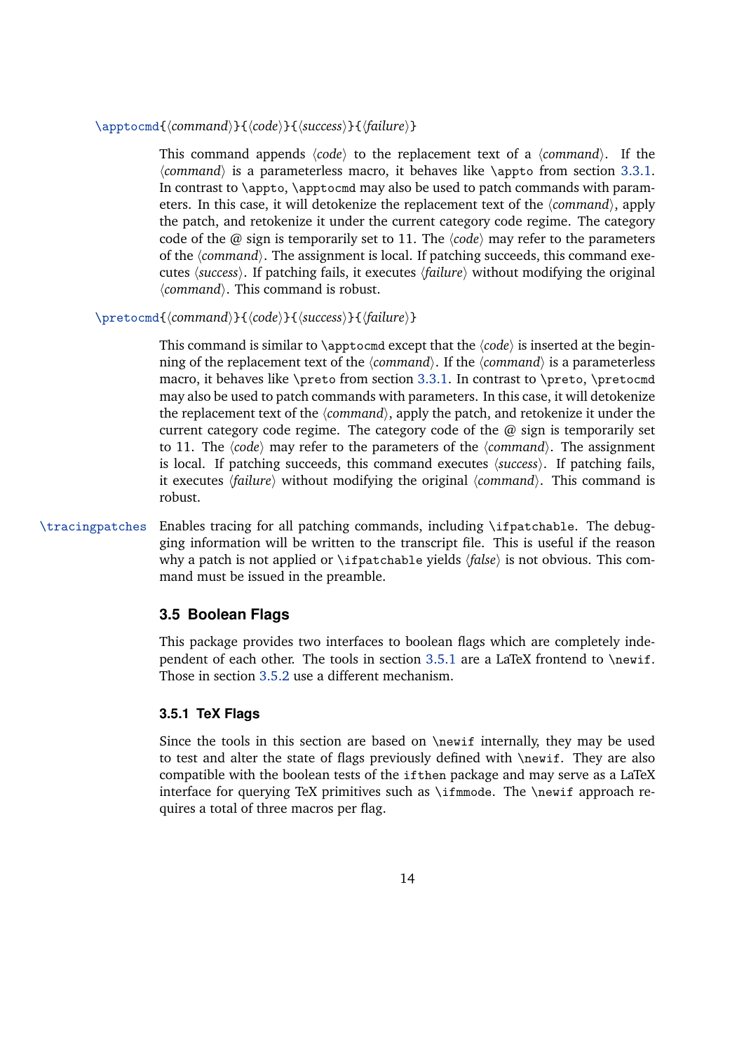#### <span id="page-13-0"></span>\apptocmd{*(command)*}{*(code)*}{*(success)*}{*(failure)*}

This command appends  $\langle code \rangle$  to the replacement text of a  $\langle command \rangle$ . If the *(command)* is a parameterless macro, it behaves like \appto from section [3.3.1.](#page-9-0) In contrast to  $\epsilon$ ,  $\epsilon$  apptocmd may also be used to patch commands with parameters. In this case, it will detokenize the replacement text of the *(command*), apply the patch, and retokenize it under the current category code regime. The category code of the  $@$  sign is temporarily set to 11. The  $\langle code \rangle$  may refer to the parameters of the *(command)*. The assignment is local. If patching succeeds, this command executes  $\langle success \rangle$ . If patching fails, it executes  $\langle failure \rangle$  without modifying the original  $\langle command \rangle$ . This command is robust.

#### \pretocmd{*(command*)}{*(code)*}{*{success}*}{*{failure}*}

This command is similar to  $\alpha$  except that the  $\langle code \rangle$  is inserted at the beginning of the replacement text of the  $\langle command \rangle$ . If the  $\langle command \rangle$  is a parameterless macro, it behaves like \preto from section [3.3.1.](#page-9-0) In contrast to \preto, \pretocmd may also be used to patch commands with parameters. In this case, it will detokenize the replacement text of the *(command)*, apply the patch, and retokenize it under the current category code regime. The category code of the  $\omega$  sign is temporarily set to 11. The  $\langle code \rangle$  may refer to the parameters of the  $\langle command \rangle$ . The assignment is local. If patching succeeds, this command executes  $\langle success \rangle$ . If patching fails, it executes  $\langle failure \rangle$  without modifying the original  $\langle command \rangle$ . This command is robust.

\tracingpatches Enables tracing for all patching commands, including \ifpatchable. The debugging information will be written to the transcript file. This is useful if the reason why a patch is not applied or \ifpatchable yields  $\langle false \rangle$  is not obvious. This command must be issued in the preamble.

#### **3.5 Boolean Flags**

This package provides two interfaces to boolean flags which are completely independent of each other. The tools in section  $3.5.1$  are a LaTeX frontend to \newif. Those in section [3.5.2](#page-15-0) use a different mechanism.

#### **3.5.1 TeX Flags**

Since the tools in this section are based on \newif internally, they may be used to test and alter the state of flags previously defined with \newif. They are also compatible with the boolean tests of the ifthen package and may serve as a LaTeX interface for querying TeX primitives such as \ifmmode. The \newif approach requires a total of three macros per flag.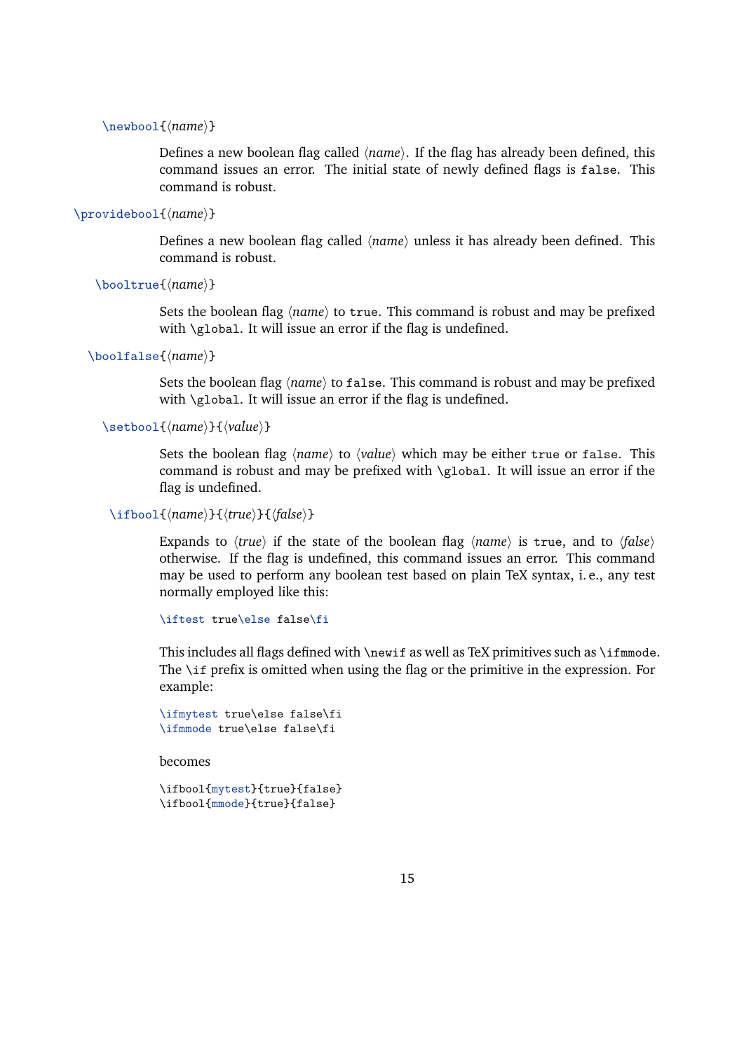#### \newbool{*\name*}}

Defines a new boolean flag called  $\langle name \rangle$ . If the flag has already been defined, this command issues an error. The initial state of newly defined flags is false. This command is robust.

#### \providebool{*(name*)}

Defines a new boolean flag called  $\langle name \rangle$  unless it has already been defined. This command is robust.

```
\booltrue{(name)}
```
Sets the boolean flag  $\langle name \rangle$  to true. This command is robust and may be prefixed with \global. It will issue an error if the flag is undefined.

```
\boolfalse{(name)}
```
Sets the boolean flag  $\langle name \rangle$  to false. This command is robust and may be prefixed with \global. It will issue an error if the flag is undefined.

```
\setbool{\langle name \rangle}{\langle value \rangle}
```
Sets the boolean flag *\name*} to *\value*} which may be either true or false. This command is robust and may be prefixed with \global. It will issue an error if the flag is undefined.

\ifbool{*\name*}}{*\true*}}{*\false*}}

Expands to  $\langle true \rangle$  if the state of the boolean flag  $\langle name \rangle$  is true, and to  $\langle false \rangle$ otherwise. If the flag is undefined, this command issues an error. This command may be used to perform any boolean test based on plain TeX syntax, i. e., any test normally employed like this:

```
\iftest true\else false\fi
```
This includes all flags defined with \newif as well as TeX primitives such as \ifmmode. The \if prefix is omitted when using the flag or the primitive in the expression. For example:

```
\ifmytest true\else false\fi
\ifmmode true\else false\fi
```
becomes

```
\ifbool{mytest}{true}{false}
\ifbool{mmode}{true}{false}
```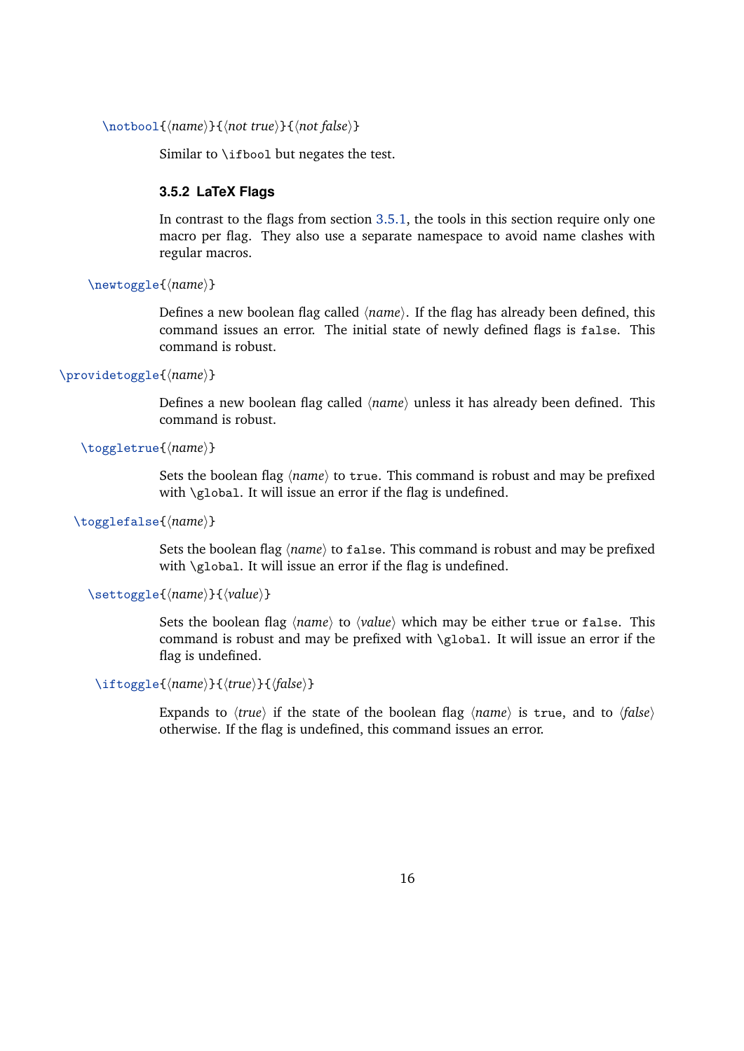```
\notbool{\name}}{\not true}}{\not false}}
```
Similar to \ifbool but negates the test.

#### **3.5.2 LaTeX Flags**

In contrast to the flags from section [3.5.1,](#page-13-0) the tools in this section require only one macro per flag. They also use a separate namespace to avoid name clashes with regular macros.

\newtoggle{\*name*}}

Defines a new boolean flag called  $\langle name \rangle$ . If the flag has already been defined, this command issues an error. The initial state of newly defined flags is false. This command is robust.

\providetoggle{*(name*)}

Defines a new boolean flag called  $\langle name \rangle$  unless it has already been defined. This command is robust.

```
\toggletrue{\name}}
```
Sets the boolean flag  $\langle name \rangle$  to true. This command is robust and may be prefixed with \global. It will issue an error if the flag is undefined.

#### \togglefalse{*\name*}}

Sets the boolean flag  $\langle name \rangle$  to false. This command is robust and may be prefixed with \global. It will issue an error if the flag is undefined.

#### \settoggle{\*name*}}{\*value*}}

Sets the boolean flag *(name)* to *(value)* which may be either true or false. This command is robust and may be prefixed with \global. It will issue an error if the flag is undefined.

#### \iftoggle{*\name*}}{*\true*}}{*\false*}}

Expands to  $\langle true \rangle$  if the state of the boolean flag  $\langle name \rangle$  is true, and to  $\langle false \rangle$ otherwise. If the flag is undefined, this command issues an error.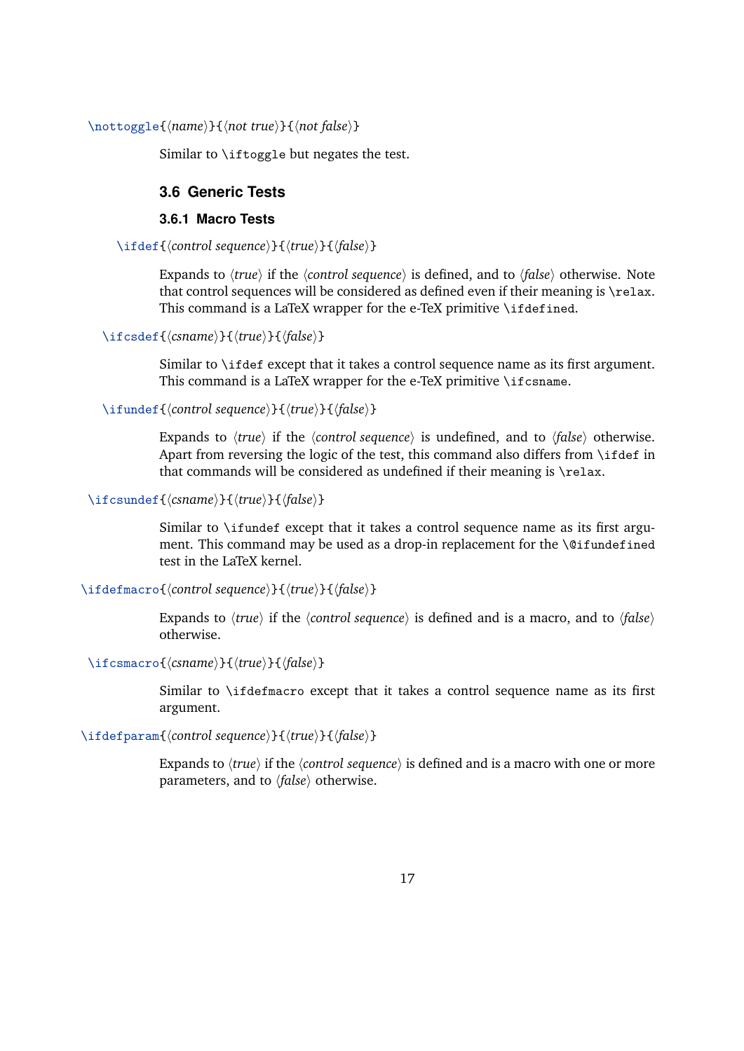<span id="page-16-0"></span>\nottoggle{*\name*}}{*\not true*}}{*\not false*}}

Similar to \iftoggle but negates the test.

# **3.6 Generic Tests**

#### **3.6.1 Macro Tests**

\ifdef{\*control sequence*}}{\*true*}}{\*false*}}

Expands to  $\langle true \rangle$  if the  $\langle contracted{control}$  sequence $\rangle$  is defined, and to  $\langle false \rangle$  otherwise. Note that control sequences will be considered as defined even if their meaning is \relax. This command is a LaTeX wrapper for the e-TeX primitive \ifdefined.

\ifcsdef{*\csname*}}{*\true*}}{*\false*}}

Similar to \ifdef except that it takes a control sequence name as its first argument. This command is a LaTeX wrapper for the e-TeX primitive \ifcsname.

\ifundef{*\control sequence*}}{*\true*}}{*\false*}}

Expands to  $\langle true \rangle$  if the  $\langle contented$  *sequence* $\rangle$  is undefined, and to  $\langle false \rangle$  otherwise. Apart from reversing the logic of the test, this command also differs from  $\iota$  if def in that commands will be considered as undefined if their meaning is \relax.

```
\ifcsundef{\csname}}{\true}}{\false}}
```
Similar to \ifundef except that it takes a control sequence name as its first argument. This command may be used as a drop-in replacement for the \@ifundefined test in the LaTeX kernel.

\ifdefmacro{*\control sequence*}}{*\true*}}{*\false*}}

Expands to  $\langle true \rangle$  if the  $\langle contracted$  sequence $\rangle$  is defined and is a macro, and to  $\langle false \rangle$ otherwise.

\ifcsmacro{*\csname*}}{*\true*}}{*\false*}}

Similar to \ifdefmacro except that it takes a control sequence name as its first argument.

\ifdefparam{*\control sequence*}}{*\true*}}{*\false*}}

Expands to  $\langle true \rangle$  if the  $\langle contented$  sequence $\rangle$  is defined and is a macro with one or more parameters, and to  $\langle false \rangle$  otherwise.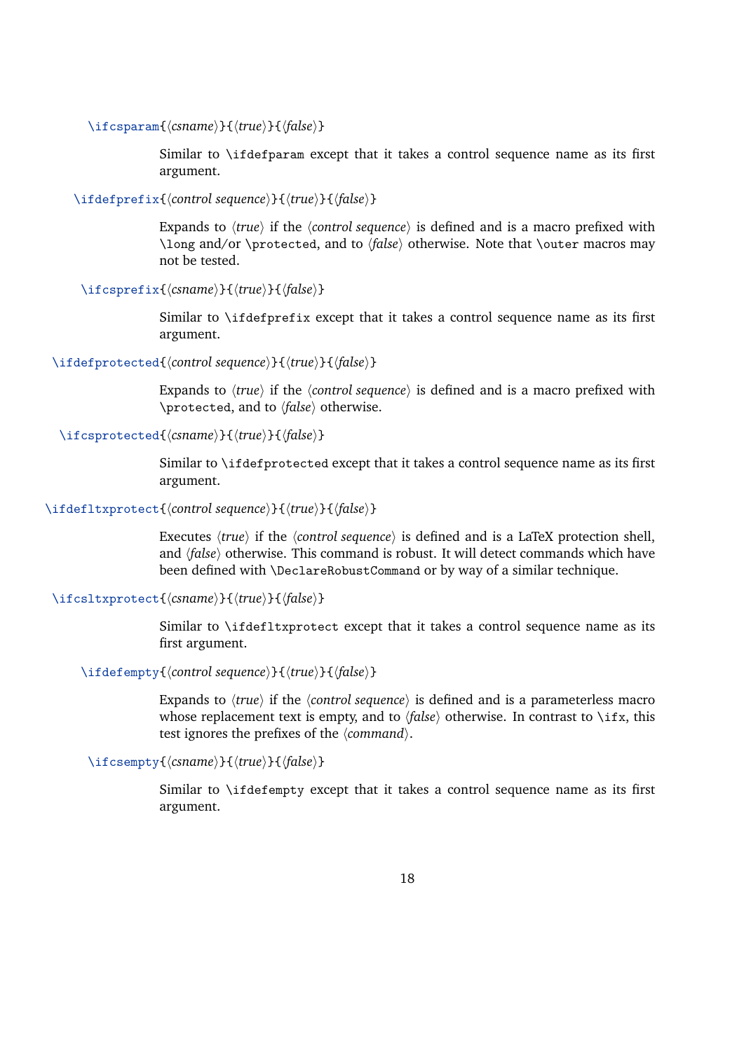\ifcsparam{*\csname*}}{*\true*}}{*\false*}}

Similar to \ifdefparam except that it takes a control sequence name as its first argument.

\ifdefprefix{\/*control sequence*}}{\*{true*}}{\*{false*}}

Expands to  $\langle true \rangle$  if the  $\langle contracted$  sequence $\rangle$  is defined and is a macro prefixed with \long and/or \protected, and to *\false*\ otherwise. Note that \outer macros may not be tested.

\ifcsprefix{*\csname*}}{*\true*}}{*\false*}}

Similar to \ifdefprefix except that it takes a control sequence name as its first argument.

\ifdefprotected{*(control sequence*)}{*{true*}}{*{false}*}

Expands to  $\langle true \rangle$  if the  $\langle counter \rangle$  is defined and is a macro prefixed with \protected, and to *\false*} otherwise.

### \ifcsprotected{*(csname*)}{*(true)*}{*(false)*}

Similar to \ifdefprotected except that it takes a control sequence name as its first argument.

\ifdefltxprotect{*\control sequence*}}{*\true*}}{*\false*}}

Executes  $\langle true \rangle$  if the  $\langle contracted{contr } \rangle$  is defined and is a LaTeX protection shell, and *(false)* otherwise. This command is robust. It will detect commands which have been defined with \DeclareRobustCommand or by way of a similar technique.

#### \ifcsltxprotect{*\csname*}}{*\true*}}{*\false*}}

Similar to \ifdefltxprotect except that it takes a control sequence name as its first argument.

#### \ifdefempty{*\control sequence*}}{*\true*}}{*\false*}}

Expands to  $\langle true \rangle$  if the  $\langle contracted{control}$  sequence $\rangle$  is defined and is a parameterless macro whose replacement text is empty, and to  $\langle false \rangle$  otherwise. In contrast to  $\langle$ ifx, this test ignores the prefixes of the  $\langle command \rangle$ .

\ifcsempty{ $\langle \text{csname} \rangle$ }{ $\langle \text{true} \rangle$ }{ $\langle \text{false} \rangle$ }

Similar to \ifdefempty except that it takes a control sequence name as its first argument.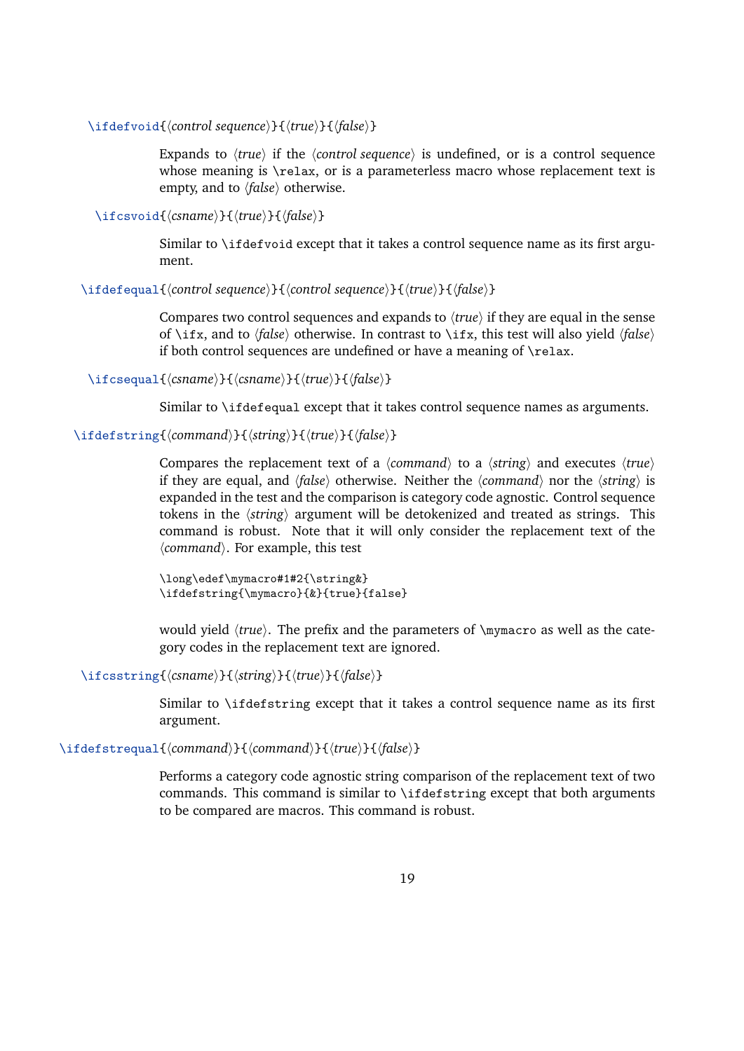\ifdefvoid{h*control sequence*i}{h*true*i}{h*false*i}

Expands to  $\langle true \rangle$  if the  $\langle contented, eigenvalue \rangle$  is undefined, or is a control sequence whose meaning is \relax, or is a parameterless macro whose replacement text is empty, and to  $\langle false \rangle$  otherwise.

\ifcsvoid{*\csname*}}{*\true*}}{*\false*}}

Similar to \ifdefvoid except that it takes a control sequence name as its first argument.

\ifdefequal{*\control sequence*}}{\*control sequence*}}{\*frue*}}{\*false*}}

Compares two control sequences and expands to  $\langle true \rangle$  if they are equal in the sense of \ifx, and to  $\langle false \rangle$  otherwise. In contrast to \ifx, this test will also yield  $\langle false \rangle$ if both control sequences are undefined or have a meaning of \relax.

\ifcsequal{*\csname*}}{*\csname*}}{*\true*}}{*\false*}}

Similar to \ifdefequal except that it takes control sequence names as arguments.

\ifdefstring{*(command)*}{*{string*}}{*{true}*}{*{false}*}

Compares the replacement text of a  $\langle$ *command* $\rangle$  to a  $\langle$ *string* $\rangle$  and executes  $\langle$ *true* $\rangle$ if they are equal, and  $\langle false \rangle$  otherwise. Neither the  $\langle command \rangle$  nor the  $\langle string \rangle$  is expanded in the test and the comparison is category code agnostic. Control sequence tokens in the  $\langle$ *string* $\rangle$  argument will be detokenized and treated as strings. This command is robust. Note that it will only consider the replacement text of the h*command*i. For example, this test

\long\edef\mymacro#1#2{\string&} \ifdefstring{\mymacro}{&}{true}{false}

would yield  $\langle true \rangle$ . The prefix and the parameters of \mymacro as well as the category codes in the replacement text are ignored.

\ifcsstring{*\csname*}}{*\tring*}}{*\true*}}{*\false*}}

Similar to \ifdefstring except that it takes a control sequence name as its first argument.

\ifdefstrequal{*(command)*}{*(command)*}{*{true}*}{*{false}*}

Performs a category code agnostic string comparison of the replacement text of two commands. This command is similar to \ifdefstring except that both arguments to be compared are macros. This command is robust.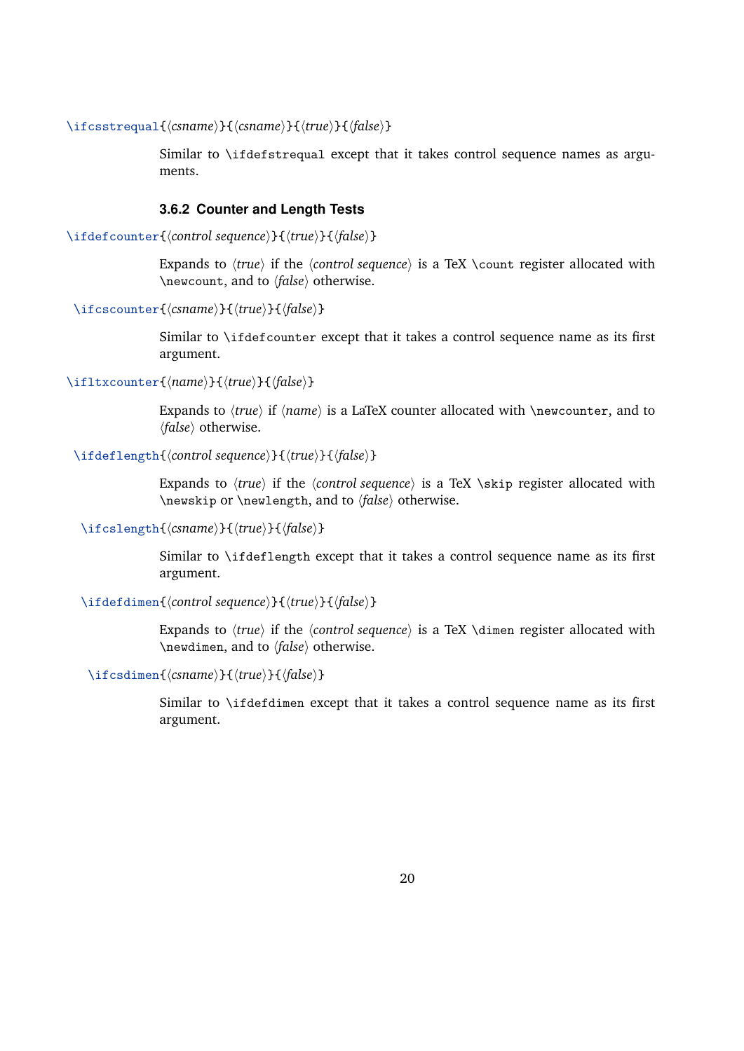<span id="page-19-0"></span>\ifcsstrequal{*(csname*)}{*(csname*)}{*(true)*}{*(false)*}

Similar to \ifdefstrequal except that it takes control sequence names as arguments.

#### **3.6.2 Counter and Length Tests**

\ifdefcounter{*\control sequence*}}{*\true*}}{*\false*}}

Expands to  $\langle true \rangle$  if the  $\langle counterrangle$  is a TeX  $\langle counterrangle$  register allocated with \newcount, and to *\false*} otherwise.

\ifcscounter{*\csname*}}{*\true*}}{*\false*}}

Similar to \ifdefcounter except that it takes a control sequence name as its first argument.

\ifltxcounter{*\name*}}{*\true*}}{*\false*}}

Expands to  $\langle true \rangle$  if  $\langle name \rangle$  is a LaTeX counter allocated with \newcounter, and to *(false)* otherwise.

#### \ifdeflength{*\control sequence*}}{*\true*}}{*\false*}}

Expands to  $\langle true \rangle$  if the  $\langle counter \rangle$  is a TeX \skip register allocated with \newskip or \newlength, and to  $\{false\}$  otherwise.

### \ifcslength{*(csname*)}{*{true*}}{*{false}*}

Similar to \ifdeflength except that it takes a control sequence name as its first argument.

#### \ifdefdimen{*\control sequence*}}{*\true*}}{*\false*}}

Expands to  $\langle true \rangle$  if the  $\langle counterrangle$  is a TeX \dimen register allocated with \newdimen, and to *\false*} otherwise.

\ifcsdimen{*\csname*}}{*\true*}}{*\false*}}

Similar to \ifdefdimen except that it takes a control sequence name as its first argument.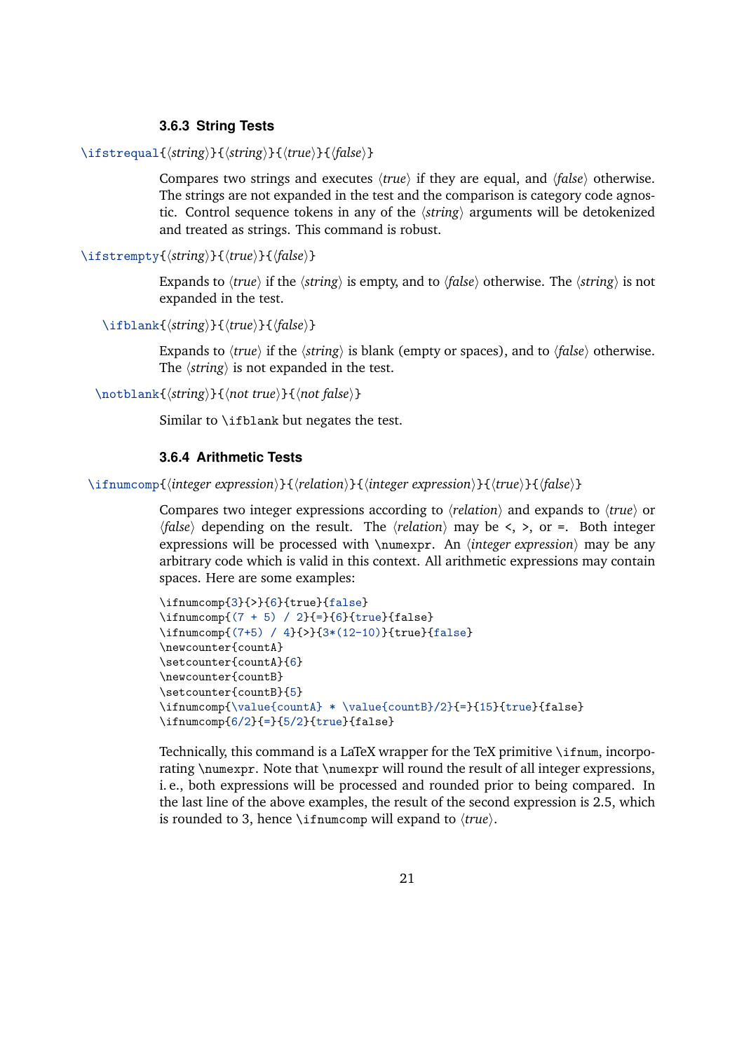#### **3.6.3 String Tests**

```
\ifstrequal{\tring}}{\tring}}{\true}}{\false}}
```
Compares two strings and executes  $\langle true \rangle$  if they are equal, and  $\langle false \rangle$  otherwise. The strings are not expanded in the test and the comparison is category code agnostic. Control sequence tokens in any of the *(string)* arguments will be detokenized and treated as strings. This command is robust.

\ifstrempty{ $\langle string \rangle$ }{ $\langle true \rangle$ }{ $\langle false \rangle$ }

Expands to  $\langle true \rangle$  if the  $\langle string \rangle$  is empty, and to  $\langle false \rangle$  otherwise. The  $\langle string \rangle$  is not expanded in the test.

\ifblank{*\tring*}}{*\true*}}{*\false*}}

Expands to *(true)* if the *(string)* is blank (empty or spaces), and to *(false)* otherwise. The  $\langle$ *string* $\rangle$  is not expanded in the test.

\notblank{*\tring*}}{\*not* true}}{\*not false*}}

Similar to \ifblank but negates the test.

### **3.6.4 Arithmetic Tests**

\ifnumcomp{*{integer expression}*}{*{relation}*}{*{integer expression}*}{*{true}*}{*{false}*}

Compares two integer expressions according to *\relation*} and expands to  $\langle true \rangle$  or  $\langle false \rangle$  depending on the result. The  $\langle relation \rangle$  may be <, >, or =. Both integer expressions will be processed with  $\num{expression}$  may be any arbitrary code which is valid in this context. All arithmetic expressions may contain spaces. Here are some examples:

```
\ifnumcomp{3}{>}{6}{true}{false}
\ifnumcomp{(7 + 5) / 2}{=}{6}{true}{false}
\ifnumcomp{(7+5) / 4}{>}{3*(12-10)}{true}{false}
\newcounter{countA}
\setcounter{countA}{6}
\newcounter{countB}
\setcounter{countB}{5}
\ifnumcomp{\value{countA} * \value{countB}/2}{=}{15}{true}{false}
\ifnumcomp{6/2}{=}{5/2}{true}{false}
```
Technically, this command is a LaTeX wrapper for the TeX primitive \ifnum, incorporating \numexpr. Note that \numexpr will round the result of all integer expressions, i. e., both expressions will be processed and rounded prior to being compared. In the last line of the above examples, the result of the second expression is 2.5, which is rounded to 3, hence  $\infty$  music will expand to  $\langle true \rangle$ .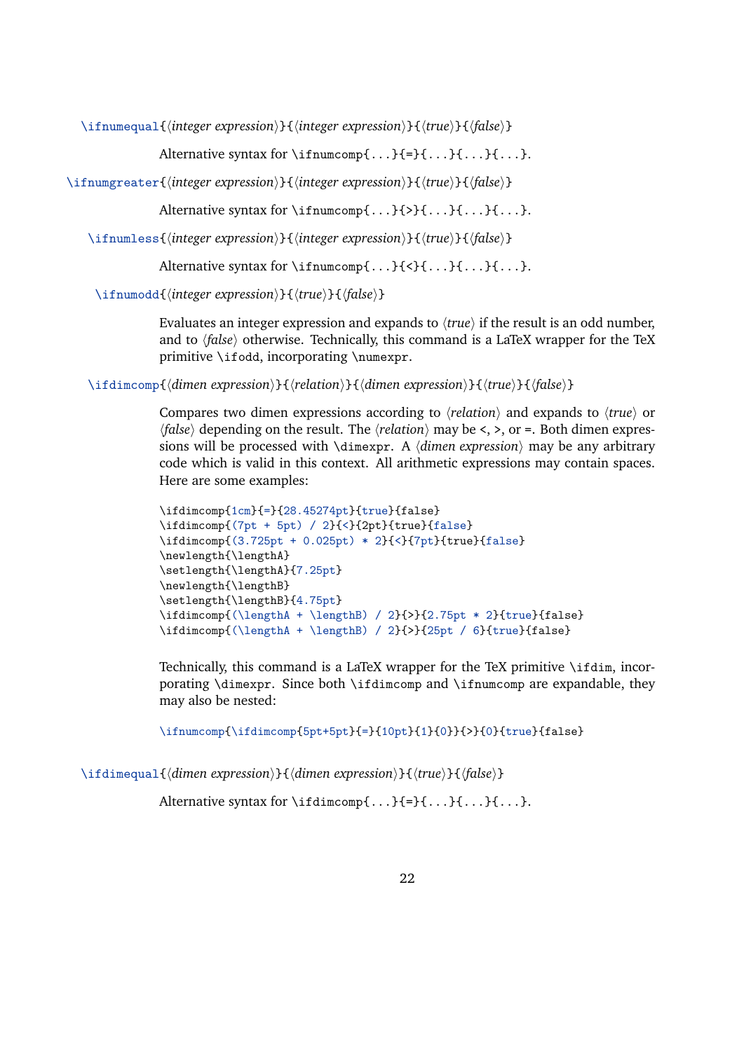\ifnumequal{*\integer expression*}}{*\integer expression*}}{*\true*}}{*\false*}}

Alternative syntax for \ifnumcomp{ $\dots$ }{=}{ $\dots$ }{...}{...}.

\ifnumgreater{*\integer expression*}}{*\integer expression*}}{*\true*}}{*\false*}}

Alternative syntax for  $\imath$  fnumcomp $\{\ldots\}\{\ldots\}\{\ldots\}$ .

\ifnumless{\*integer expression*}}{\*integer expression*}}{\*true*}}{\*false*}}

Alternative syntax for  $\imath$  fnumcomp $\{\ldots\}$ { $\{\ldots\}$ { $\ldots$ }.

\ifnumodd{*(integer expression*)}{*(true)*}{*(false)*}

Evaluates an integer expression and expands to  $\langle true \rangle$  if the result is an odd number, and to  $\langle false \rangle$  otherwise. Technically, this command is a LaTeX wrapper for the TeX primitive \ifodd, incorporating \numexpr.

\ifdimcomp{*{dimen expression*}}{*{relation}*}{*{dimen expression}*}{*{true}*}{*{false}*}

Compares two dimen expressions according to  $\langle$ *relation* $\rangle$  and expands to  $\langle$ *true* $\rangle$  or  $\langle false \rangle$  depending on the result. The  $\langle relation \rangle$  may be <, >, or =. Both dimen expressions will be processed with  $\dim_{\mathbb{R}} A \dim_{\mathbb{R}}$  expression) may be any arbitrary code which is valid in this context. All arithmetic expressions may contain spaces. Here are some examples:

```
\ifdimcomp{1cm}{=}{28.45274pt}{true}{false}
\ifdimcomp{(7pt + 5pt) / 2}{<}{2pt}{true}{false}
\ifdimcomp{(3.725pt + 0.025pt) * 2}{<}{7pt}{true}{false}
\newlength{\lengthA}
\setlength{\lengthA}{7.25pt}
\newlength{\lengthB}
\setlength{\lengthB}{4.75pt}
\ifdimcomp{(\lengthA + \lengthB) / 2}{>}{2.75pt * 2}{true}{false}
\label{thm:main} $$\if{dimcomp{(\lengthA + \lengthB) / 2}{>}{25pt / 6}{true}{false}
```
Technically, this command is a LaTeX wrapper for the TeX primitive \ifdim, incorporating \dimexpr. Since both \ifdimcomp and \ifnumcomp are expandable, they may also be nested:

\ifnumcomp{\ifdimcomp{5pt+5pt}{=}{10pt}{1}{0}}{>}{0}{true}{false}

\ifdimequal{*dimen expression*}}{*\dimen expression*}}{*\true*}}{*\false*}}

Alternative syntax for  $\ifmmode\setminus i\else\relbreak\fi$  \ifdimcomp{...}{=}{...}{...}{...}.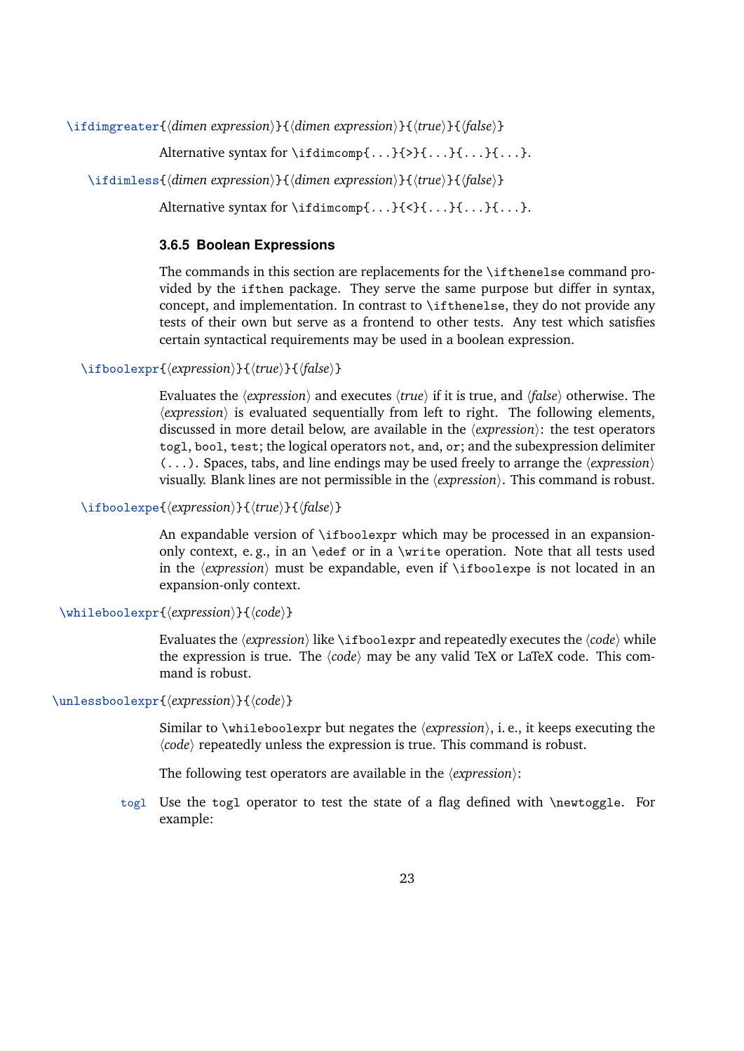<span id="page-22-0"></span>\ifdimgreater{*\dimen expression*}}{*\dimen expression*}}{*\true*}}{*\false*}}

Alternative syntax for \ifdimcomp{ $\dots$ }{ $>$ }{...}{...}{...}.

```
\ifdimless{\dimen expression}}{\dimen expression}}{\true}}{\false}}
```
Alternative syntax for \ifdimcomp{ $\dots$ }{<}{ $\dots$ }{ $\dots$ }{...}.

#### **3.6.5 Boolean Expressions**

The commands in this section are replacements for the \ifthenelse command provided by the ifthen package. They serve the same purpose but differ in syntax, concept, and implementation. In contrast to \ifthenelse, they do not provide any tests of their own but serve as a frontend to other tests. Any test which satisfies certain syntactical requirements may be used in a boolean expression.

\ifboolexpr{*\expression*}}{*\true*}}{*\false*}}

Evaluates the *(expression)* and executes *(true)* if it is true, and *{false}* otherwise. The  $\langle expression \rangle$  is evaluated sequentially from left to right. The following elements, discussed in more detail below, are available in the  $\langle expression \rangle$ : the test operators togl, bool, test; the logical operators not, and, or; and the subexpression delimiter  $(...).$  Spaces, tabs, and line endings may be used freely to arrange the  $\langle expression \rangle$ visually. Blank lines are not permissible in the  $\langle expression \rangle$ . This command is robust.

\ifboolexpe{*\expression*}}{*\true*}}{*\false*}}

An expandable version of \ifboolexpr which may be processed in an expansiononly context, e.g., in an \edef or in a \write operation. Note that all tests used in the  $\langle expression \rangle$  must be expandable, even if  $\iota$  theolexpe is not located in an expansion-only context.

\whileboolexpr{*\expression*}}{*\code*}}

Evaluates the  $\langle expression \rangle$  like \ifboolexpr and repeatedly executes the  $\langle code \rangle$  while the expression is true. The  $\langle code \rangle$  may be any valid TeX or LaTeX code. This command is robust.

#### \unlessboolexpr{*\expression*}}{*\code*}}

Similar to \whileboolexpr but negates the  $\langle expression \rangle$ , i. e., it keeps executing the  $\langle code \rangle$  repeatedly unless the expression is true. This command is robust.

The following test operators are available in the *(expression*):

togl Use the togl operator to test the state of a flag defined with \newtoggle. For example: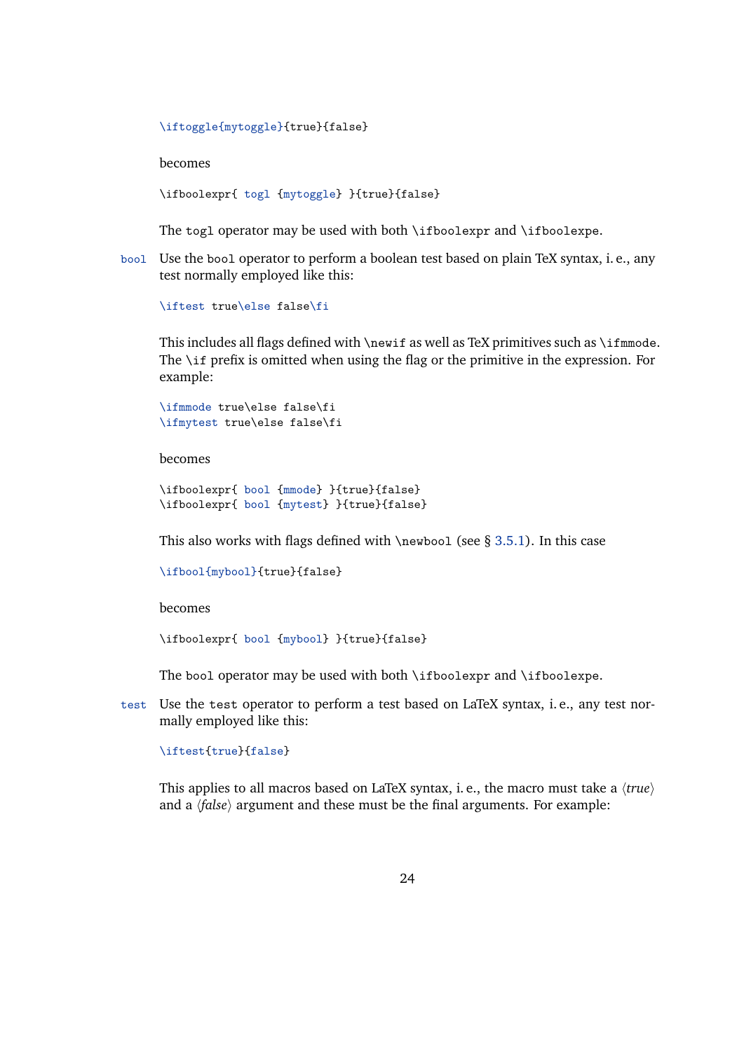```
\iftoggle{mytoggle}{true}{false}
```
becomes

\ifboolexpr{ togl {mytoggle} }{true}{false}

The togl operator may be used with both \ifboolexpr and \ifboolexpe.

bool Use the bool operator to perform a boolean test based on plain TeX syntax, i. e., any test normally employed like this:

\iftest true\else false\fi

This includes all flags defined with \newif as well as TeX primitives such as \ifmmode. The \if prefix is omitted when using the flag or the primitive in the expression. For example:

```
\ifmmode true\else false\fi
\ifmytest true\else false\fi
```
becomes

```
\ifboolexpr{ bool {mmode} }{true}{false}
\ifboolexpr{ bool {mytest} }{true}{false}
```
This also works with flags defined with  $\newcommand{\mbox{\wedge}1}$  (see § [3.5.1\)](#page-13-0). In this case

```
\ifbool{mybool}{true}{false}
```
becomes

```
\ifboolexpr{ bool {mybool} }{true}{false}
```
The bool operator may be used with both \ifboolexpr and \ifboolexpe.

test Use the test operator to perform a test based on LaTeX syntax, i. e., any test normally employed like this:

#### \iftest{true}{false}

This applies to all macros based on LaTeX syntax, i. e., the macro must take a  $\langle true \rangle$ and a  $\langle false \rangle$  argument and these must be the final arguments. For example: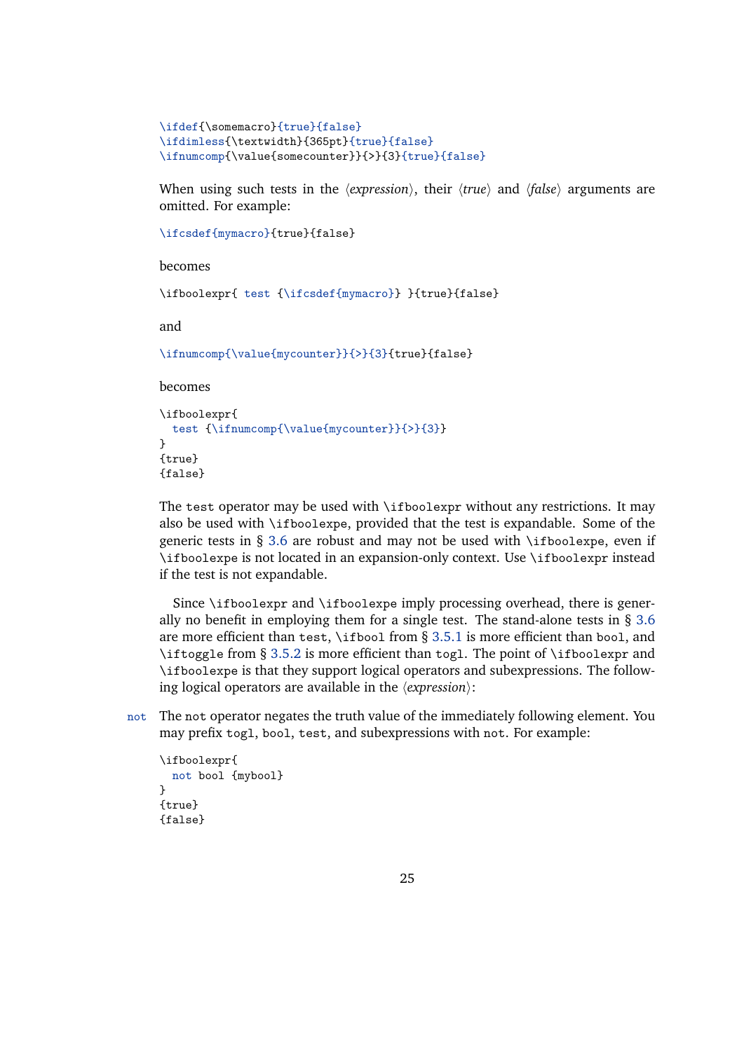```
\ifdef{\somemacro}{true}{false}
\ifdimless{\textwidth}{365pt}{true}{false}
\ifnumcomp{\value{somecounter}}{>}{3}{true}{false}
```
When using such tests in the  $\langle expression \rangle$ , their  $\langle true \rangle$  and  $\langle false \rangle$  arguments are omitted. For example:

```
\ifcsdef{mymacro}{true}{false}
```
becomes

\ifboolexpr{ test {\ifcsdef{mymacro}} }{true}{false}

and

\ifnumcomp{\value{mycounter}}{>}{3}{true}{false}

becomes

```
\ifboolexpr{
 test {\ifnumcomp{\value{mycounter}}{>}{3}}
}
{true}
{false}
```
The test operator may be used with \ifboolexpr without any restrictions. It may also be used with \ifboolexpe, provided that the test is expandable. Some of the generic tests in § [3.6](#page-16-0) are robust and may not be used with  $\it \iota$ fboolexpe, even if \ifboolexpe is not located in an expansion-only context. Use \ifboolexpr instead if the test is not expandable.

Since \ifboolexpr and \ifboolexpe imply processing overhead, there is generally no benefit in employing them for a single test. The stand-alone tests in  $\S 3.6$  $\S 3.6$ are more efficient than test,  $\iota$  from § [3.5.1](#page-13-0) is more efficient than bool, and \iftoggle from § [3.5.2](#page-15-0) is more efficient than togl. The point of \ifboolexpr and \ifboolexpe is that they support logical operators and subexpressions. The following logical operators are available in the  $\langle expression \rangle$ :

not The not operator negates the truth value of the immediately following element. You may prefix togl, bool, test, and subexpressions with not. For example:

```
\ifboolexpr{
  not bool {mybool}
\mathbf{I}{true}
{false}
```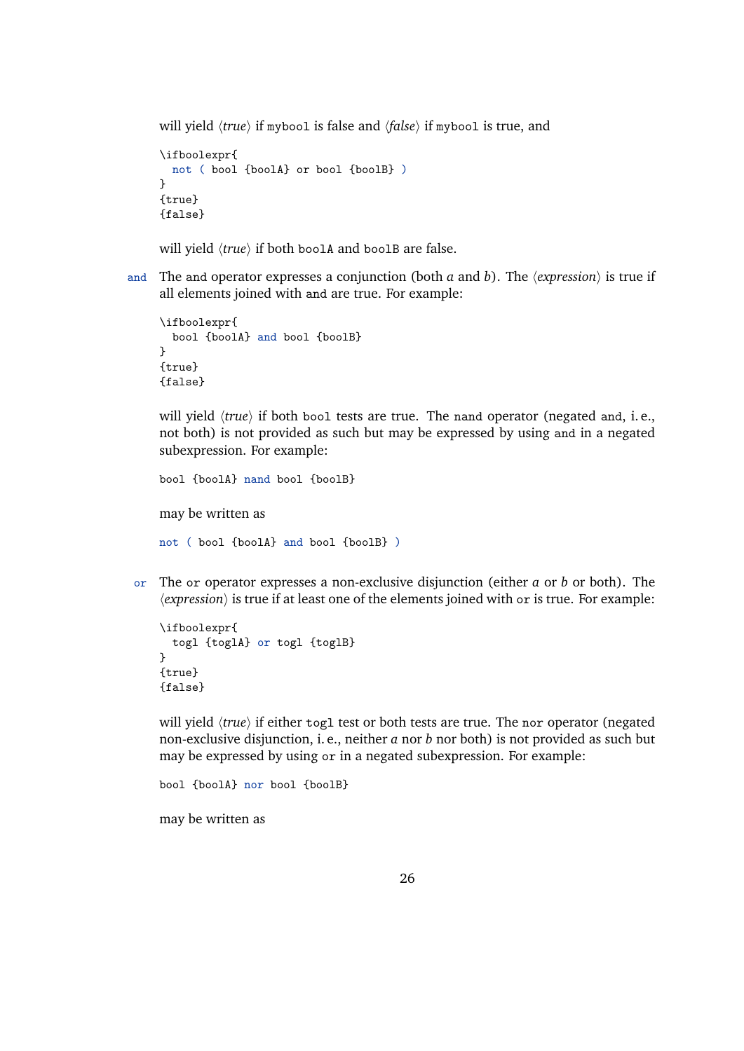will yield  $\langle true \rangle$  if mybool is false and  $\langle false \rangle$  if mybool is true, and

```
\ifboolexpr{
 not ( bool {boolA} or bool {boolB} )
}
{true}
{false}
```
will yield  $\langle true \rangle$  if both boolA and boolB are false.

and The and operator expresses a conjunction (both *a* and *b*). The  $\langle expression \rangle$  is true if all elements joined with and are true. For example:

```
\ifboolexpr{
 bool {boolA} and bool {boolB}
}
{true}
{false}
```
will yield  $\langle true \rangle$  if both bool tests are true. The nand operator (negated and, i.e., not both) is not provided as such but may be expressed by using and in a negated subexpression. For example:

```
bool {boolA} nand bool {boolB}
may be written as
not ( bool {boolA} and bool {boolB} )
```
or The or operator expresses a non-exclusive disjunction (either *a* or *b* or both). The  $\langle expression \rangle$  is true if at least one of the elements joined with or is true. For example:

```
\ifboolexpr{
  togl {toglA} or togl {toglB}
}
{true}
{false}
```
will yield  $\langle true \rangle$  if either togl test or both tests are true. The nor operator (negated non-exclusive disjunction, i. e., neither *a* nor *b* nor both) is not provided as such but may be expressed by using or in a negated subexpression. For example:

```
bool {boolA} nor bool {boolB}
may be written as
```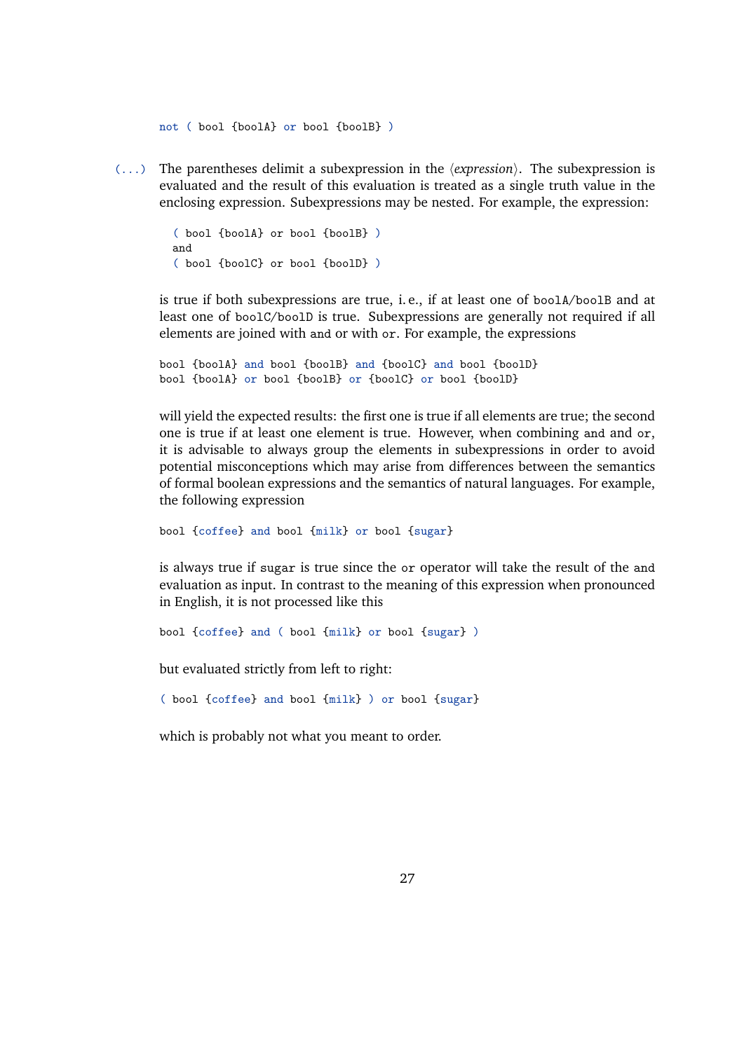not ( bool {boolA} or bool {boolB} )

 $($ ...) The parentheses delimit a subexpression in the  $\langle expression \rangle$ . The subexpression is evaluated and the result of this evaluation is treated as a single truth value in the enclosing expression. Subexpressions may be nested. For example, the expression:

> ( bool {boolA} or bool {boolB} ) and ( bool {boolC} or bool {boolD} )

is true if both subexpressions are true, i. e., if at least one of boolA/boolB and at least one of boolC/boolD is true. Subexpressions are generally not required if all elements are joined with and or with or. For example, the expressions

bool {boolA} and bool {boolB} and {boolC} and bool {boolD} bool {boolA} or bool {boolB} or {boolC} or bool {boolD}

will yield the expected results: the first one is true if all elements are true; the second one is true if at least one element is true. However, when combining and and or, it is advisable to always group the elements in subexpressions in order to avoid potential misconceptions which may arise from differences between the semantics of formal boolean expressions and the semantics of natural languages. For example, the following expression

bool {coffee} and bool {milk} or bool {sugar}

is always true if sugar is true since the or operator will take the result of the and evaluation as input. In contrast to the meaning of this expression when pronounced in English, it is not processed like this

bool {coffee} and ( bool {milk} or bool {sugar} )

but evaluated strictly from left to right:

( bool {coffee} and bool {milk} ) or bool {sugar}

which is probably not what you meant to order.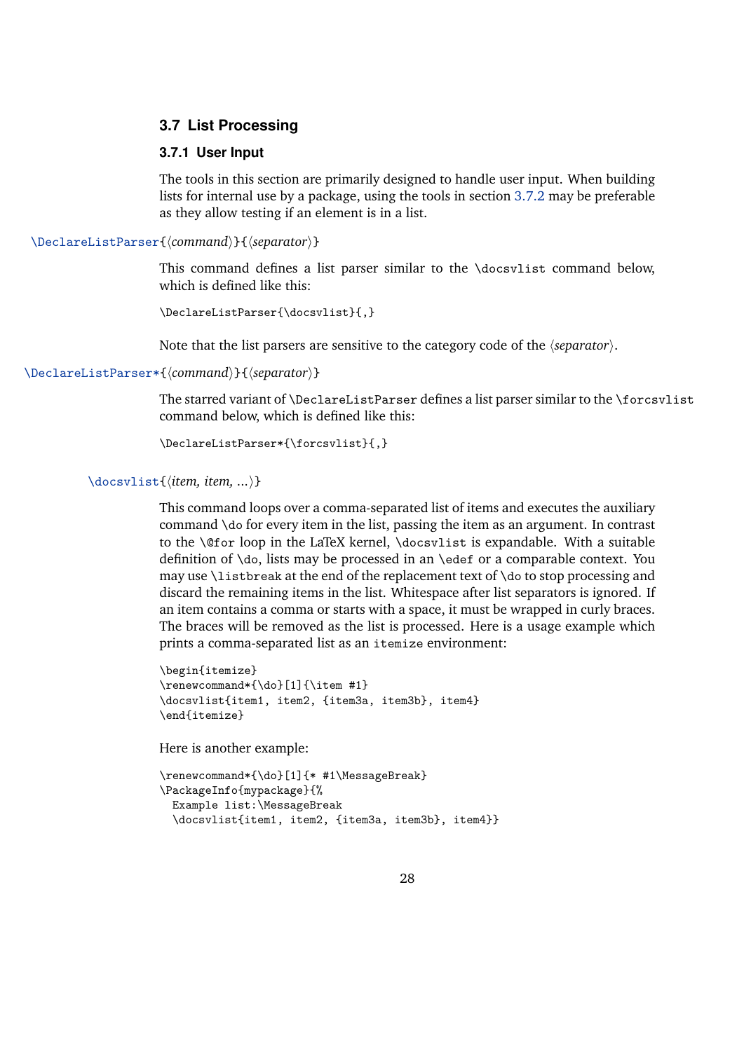#### <span id="page-27-0"></span>**3.7 List Processing**

#### **3.7.1 User Input**

The tools in this section are primarily designed to handle user input. When building lists for internal use by a package, using the tools in section [3.7.2](#page-28-0) may be preferable as they allow testing if an element is in a list.

\DeclareListParser{*\command*}}{*\separator*}}

This command defines a list parser similar to the \docsvlist command below, which is defined like this:

```
\DeclareListParser{\docsvlist}{,}
```
Note that the list parsers are sensitive to the category code of the *(separator)*.

\DeclareListParser\*{*\command*}}{*\separator*}}

The starred variant of \DeclareListParser defines a list parser similar to the \forcsvlist command below, which is defined like this:

```
\DeclareListParser*{\forcsvlist}{,}
```

```
\docsvlist{\item, item, ...}}
```
This command loops over a comma-separated list of items and executes the auxiliary command \do for every item in the list, passing the item as an argument. In contrast to the \@for loop in the LaTeX kernel, \docsvlist is expandable. With a suitable definition of \do, lists may be processed in an \edef or a comparable context. You may use \listbreak at the end of the replacement text of \do to stop processing and discard the remaining items in the list. Whitespace after list separators is ignored. If an item contains a comma or starts with a space, it must be wrapped in curly braces. The braces will be removed as the list is processed. Here is a usage example which prints a comma-separated list as an itemize environment:

```
\begin{itemize}
\renewcommand*{\do}[1]{\item #1}
\docsvlist{item1, item2, {item3a, item3b}, item4}
\end{itemize}
```
Here is another example:

```
\renewcommand*{\do}[1]{* #1\MessageBreak}
\PackageInfo{mypackage}{%
 Example list:\MessageBreak
  \docsvlist{item1, item2, {item3a, item3b}, item4}}
```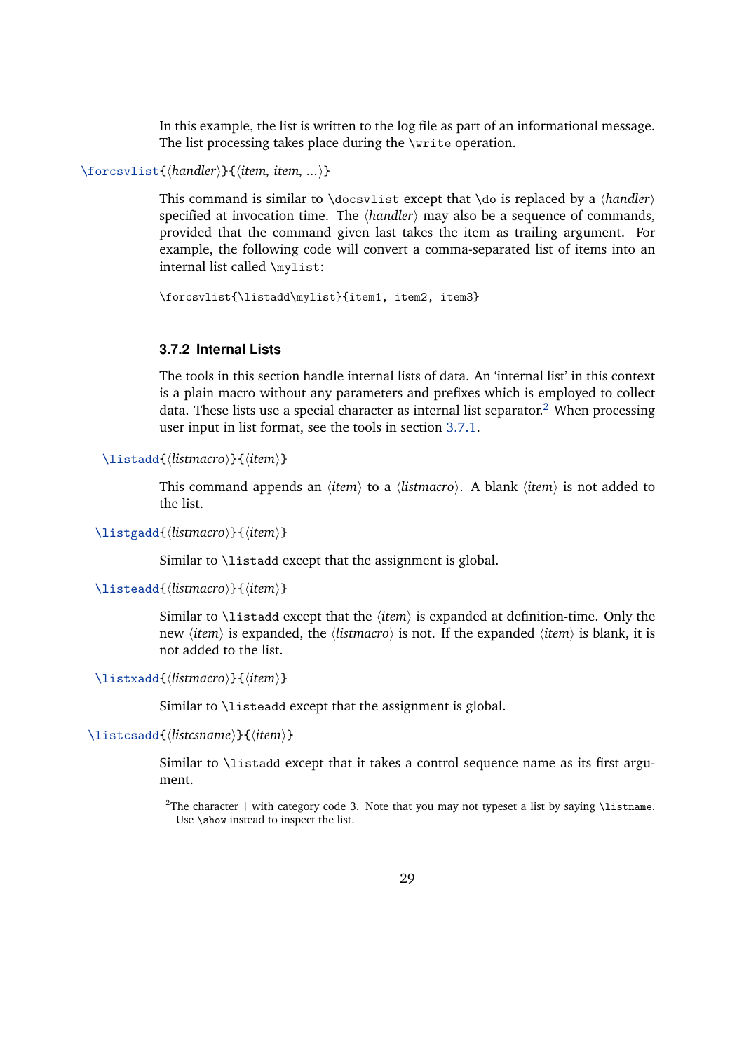In this example, the list is written to the log file as part of an informational message. The list processing takes place during the \write operation.

<span id="page-28-0"></span>\forcsvlist{*\handler*}}{*\item, item, ...*}}

This command is similar to  $\do \cscp$ that  $\do$  is replaced by a  $\land$ *handler*) specified at invocation time. The  $\langle \text{handler} \rangle$  may also be a sequence of commands, provided that the command given last takes the item as trailing argument. For example, the following code will convert a comma-separated list of items into an internal list called \mylist:

\forcsvlist{\listadd\mylist}{item1, item2, item3}

### **3.7.2 Internal Lists**

The tools in this section handle internal lists of data. An 'internal list' in this context is a plain macro without any parameters and prefixes which is employed to collect data. These lists use a special character as internal list separator.<sup>2</sup> When processing user input in list format, see the tools in section [3.7.1.](#page-27-0)

\listadd{*(listmacro)*}{*(item)*}

This command appends an *(item)* to a *(listmacro)*. A blank *(item)* is not added to the list.

\listgadd{\*listmacro*}}{\*item*}}

Similar to \listadd except that the assignment is global.

\listeadd{*\listmacro*}}{*\item*}}

Similar to  $\text{list}$  add except that the  $\langle item \rangle$  is expanded at definition-time. Only the new *(item)* is expanded, the *(listmacro)* is not. If the expanded *(item)* is blank, it is not added to the list.

\listxadd{*\listmacro*}}{*\item*}}

Similar to \listeadd except that the assignment is global.

\listcsadd{\*listcsname*}}{\*item*}}

Similar to \listadd except that it takes a control sequence name as its first argument.

<sup>&</sup>lt;sup>2</sup>The character | with category code 3. Note that you may not typeset a list by saying \listname. Use \show instead to inspect the list.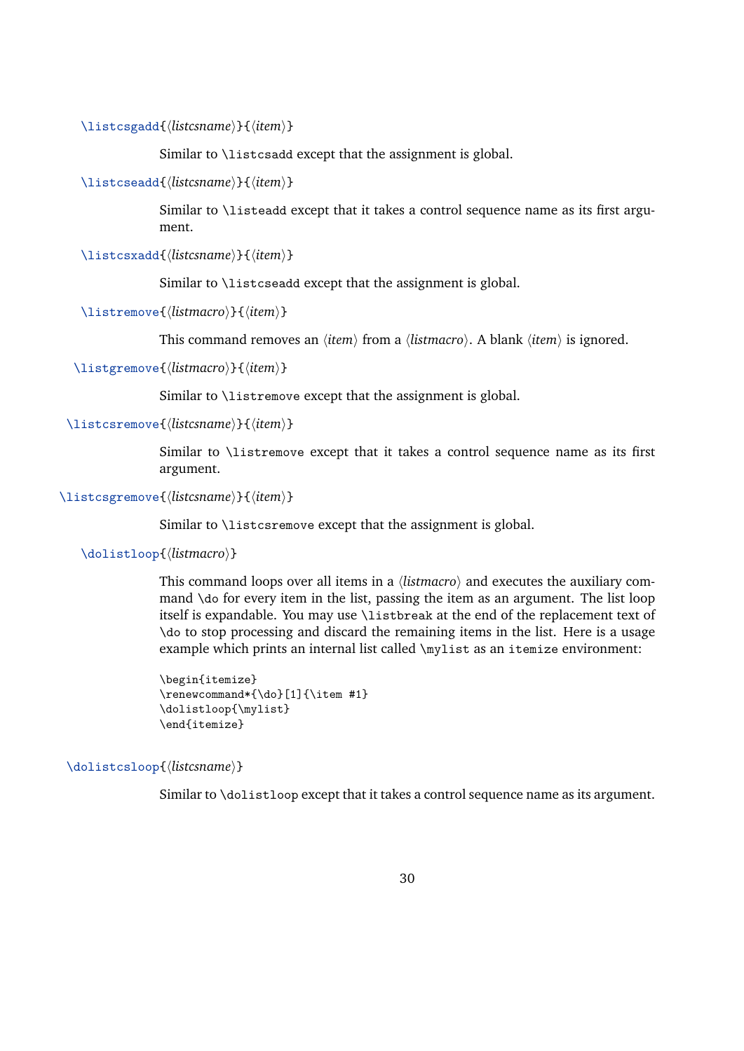\listcsgadd{\*listcsname*}}{\*item*}}

Similar to \listcsadd except that the assignment is global.

```
\listcseadd{\listcsname}}{\item}}
```
Similar to \listeadd except that it takes a control sequence name as its first argument.

\listcsxadd{*\listcsname*}}{*\item*}}

Similar to \listcseadd except that the assignment is global.

```
\listremove{\listmacro}}{\item}}
```
This command removes an  $\langle item \rangle$  from a  $\langle listener \rangle$ . A blank  $\langle item \rangle$  is ignored.

```
\listgremove{\listmacro}}{\item}}
```
Similar to \listremove except that the assignment is global.

\listcsremove{\*listcsname*}}{\*item*}}

Similar to \listremove except that it takes a control sequence name as its first argument.

\listcsgremove{\*listcsname*}}{\*item*}}

Similar to \listcsremove except that the assignment is global.

\dolistloop{\*listmacro*}}

This command loops over all items in a h*listmacro*i and executes the auxiliary command \do for every item in the list, passing the item as an argument. The list loop itself is expandable. You may use \listbreak at the end of the replacement text of \do to stop processing and discard the remaining items in the list. Here is a usage example which prints an internal list called \mylist as an itemize environment:

```
\begin{itemize}
\renewcommand*{\do}[1]{\item #1}
\dolistloop{\mylist}
\end{itemize}
```
\dolistcsloop{\*listcsname*}}

Similar to \dolistloop except that it takes a control sequence name as its argument.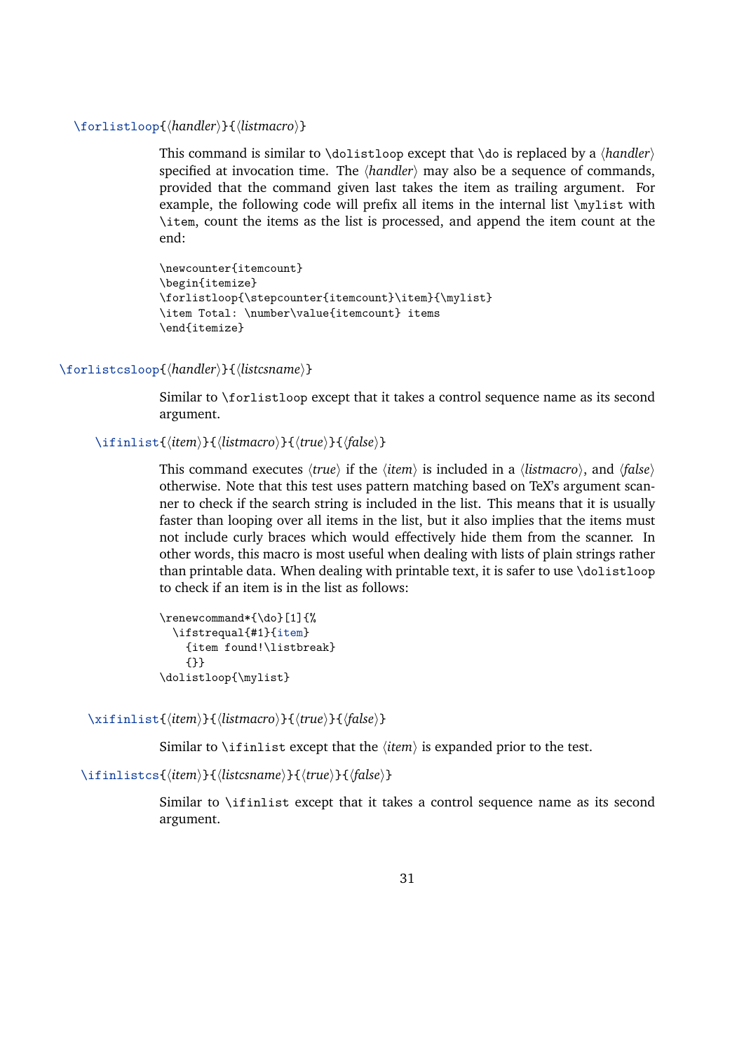#### \forlistloop{\*handler*\}{\*listmacro*\}

This command is similar to \dolistloop except that \do is replaced by a  $\langle \text{handler} \rangle$ specified at invocation time. The *{handler}* may also be a sequence of commands, provided that the command given last takes the item as trailing argument. For example, the following code will prefix all items in the internal list \mylist with \item, count the items as the list is processed, and append the item count at the end:

```
\newcounter{itemcount}
\begin{itemize}
\forlistloop{\stepcounter{itemcount}\item}{\mylist}
\item Total: \number\value{itemcount} items
\end{itemize}
```
\forlistcsloop{\*handler*\}{\*listcsname*\}

Similar to \forlistloop except that it takes a control sequence name as its second argument.

```
\ifinlist{(item)}{{listmacro}}{{true}}{{false}}
```
This command executes  $\langle true \rangle$  if the  $\langle item \rangle$  is included in a  $\langle listener \rangle$ , and  $\langle false \rangle$ otherwise. Note that this test uses pattern matching based on TeX's argument scanner to check if the search string is included in the list. This means that it is usually faster than looping over all items in the list, but it also implies that the items must not include curly braces which would effectively hide them from the scanner. In other words, this macro is most useful when dealing with lists of plain strings rather than printable data. When dealing with printable text, it is safer to use \dolistloop to check if an item is in the list as follows:

```
\renewcommand*{\do}[1]{%
 \ifstrequal{#1}{item}
    {item found!\listbreak}
    {}}
\dolistloop{\mylist}
```
\xifinlist{*\item*}}{*\listmacro*}}{*\true*}}{*\false*}}

Similar to  $\int$ ifinlist except that the  $\langle item \rangle$  is expanded prior to the test.

\ifinlistcs{\*item*}}{\*listcsname*}}{\*true*}}{\*false*}}

Similar to \ifinlist except that it takes a control sequence name as its second argument.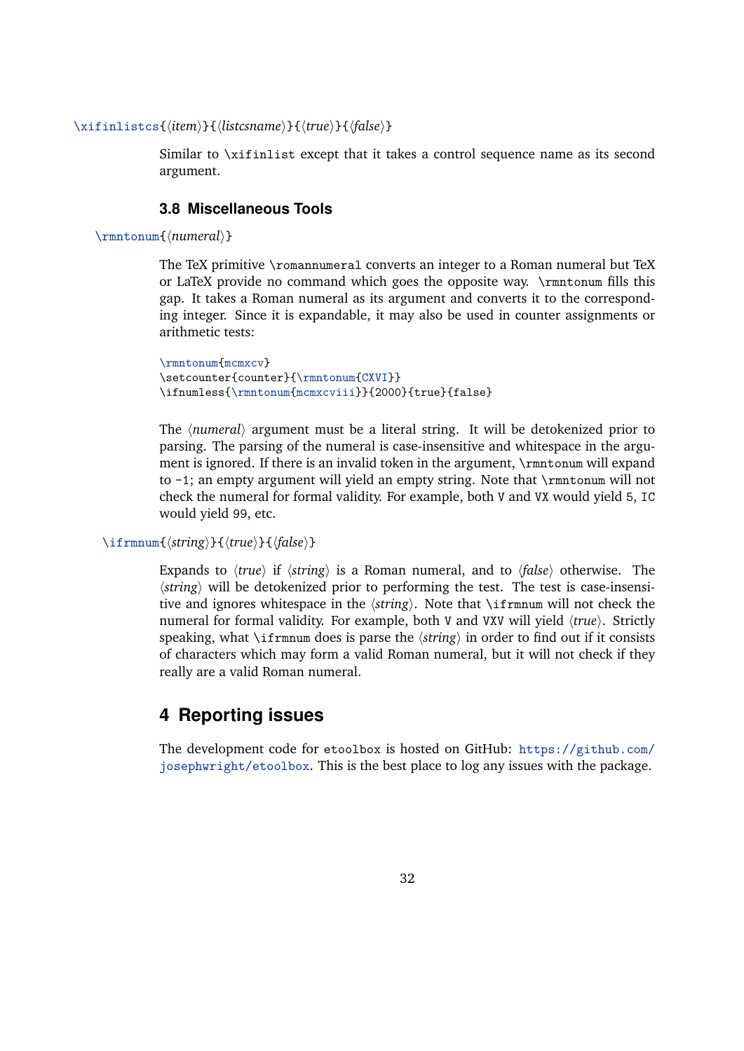```
\xifinlistcs{(item)}{{listcsname}}{{true}}{{false}}
```
Similar to \xifinlist except that it takes a control sequence name as its second argument.

# **3.8 Miscellaneous Tools**

\rmntonum{*\numeral*}}

The TeX primitive \romannumeral converts an integer to a Roman numeral but TeX or LaTeX provide no command which goes the opposite way. \rmntonum fills this gap. It takes a Roman numeral as its argument and converts it to the corresponding integer. Since it is expandable, it may also be used in counter assignments or arithmetic tests:

```
\rmntonum{mcmxcv}
\setcounter{counter}{\rmntonum{CXVI}}
\ifnumless{\rmntonum{mcmxcviii}}{2000}{true}{false}
```
The  $\langle$ *numeral* $\rangle$  argument must be a literal string. It will be detokenized prior to parsing. The parsing of the numeral is case-insensitive and whitespace in the argument is ignored. If there is an invalid token in the argument, \rmntonum will expand to -1; an empty argument will yield an empty string. Note that \rmntonum will not check the numeral for formal validity. For example, both V and VX would yield 5, IC would yield 99, etc.

```
\ifrmnum{(string)}{(true)}{(false)}
```
Expands to  $\langle true \rangle$  if  $\langle string \rangle$  is a Roman numeral, and to  $\langle false \rangle$  otherwise. The  $\langle$ *string* $\rangle$  will be detokenized prior to performing the test. The test is case-insensitive and ignores whitespace in the  $\langle string \rangle$ . Note that \ifrmnum will not check the numeral for formal validity. For example, both V and VXV will yield  $\langle true \rangle$ . Strictly speaking, what  $\iint_{\mathbb{R}}$  is parse the  $\langle$ *string* $\rangle$  in order to find out if it consists of characters which may form a valid Roman numeral, but it will not check if they really are a valid Roman numeral.

# **4 Reporting issues**

The development code for etoolbox is hosted on GitHub: [https://github.com/](https://github.com/josephwright/etoolbox) [josephwright/etoolbox](https://github.com/josephwright/etoolbox). This is the best place to log any issues with the package.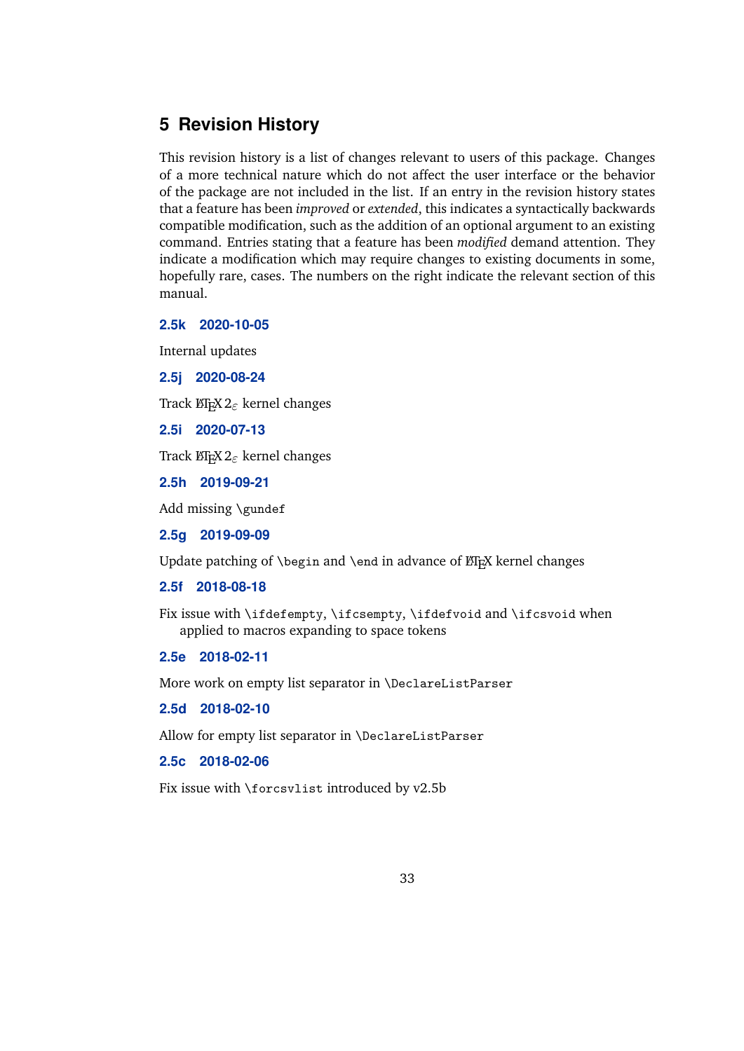# <span id="page-32-0"></span>**5 Revision History**

This revision history is a list of changes relevant to users of this package. Changes of a more technical nature which do not affect the user interface or the behavior of the package are not included in the list. If an entry in the revision history states that a feature has been *improved* or *extended*, this indicates a syntactically backwards compatible modification, such as the addition of an optional argument to an existing command. Entries stating that a feature has been *modified* demand attention. They indicate a modification which may require changes to existing documents in some, hopefully rare, cases. The numbers on the right indicate the relevant section of this manual.

# **2.5k 2020-10-05**

Internal updates

**2.5j 2020-08-24**

Track LATEX 2*ε* kernel changes

**2.5i 2020-07-13**

Track LATEX 2*ε* kernel changes

**2.5h 2019-09-21**

Add missing \gundef

**2.5g 2019-09-09**

Update patching of \begin and \end in advance of  $\E[x]$  kernel changes

**2.5f 2018-08-18**

Fix issue with \ifdefempty, \ifcsempty, \ifdefvoid and \ifcsvoid when applied to macros expanding to space tokens

**2.5e 2018-02-11**

More work on empty list separator in \DeclareListParser

**2.5d 2018-02-10**

Allow for empty list separator in \DeclareListParser

**2.5c 2018-02-06**

Fix issue with \forcsvlist introduced by v2.5b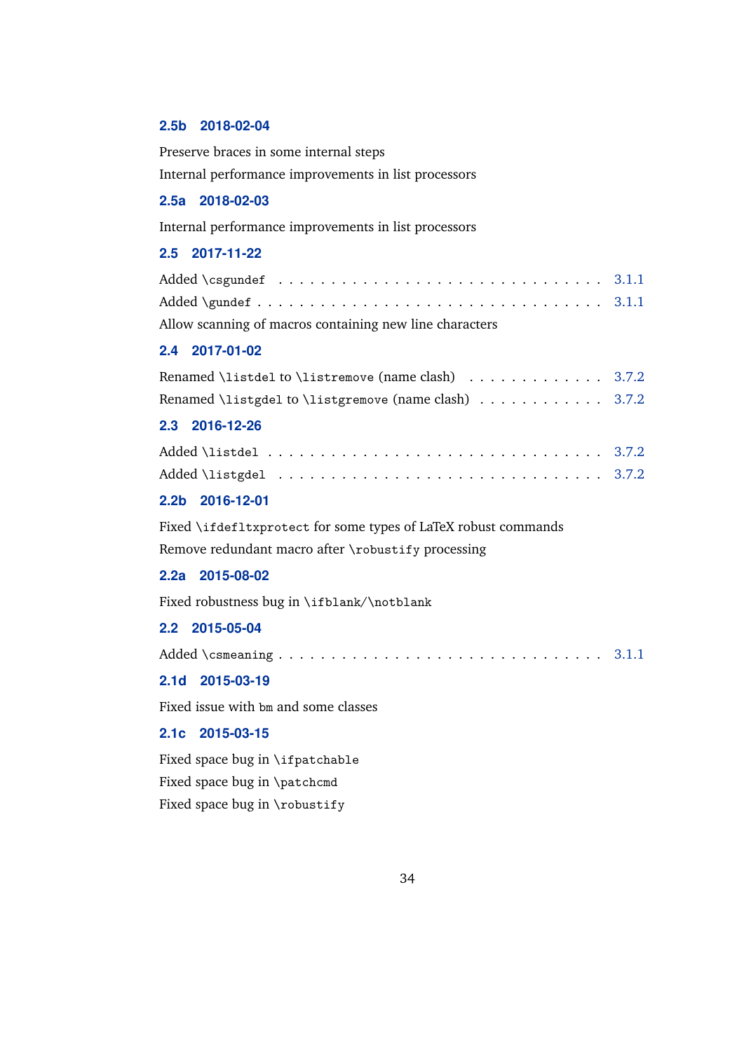#### **2.5b 2018-02-04**

Preserve braces in some internal steps

Internal performance improvements in list processors

# **2.5a 2018-02-03**

Internal performance improvements in list processors

# **2.5 2017-11-22**

| Added \csgundef $\dots\dots\dots\dots\dots\dots\dots\dots\dots\dots$ 3.1.1 |  |
|----------------------------------------------------------------------------|--|
|                                                                            |  |
| Allow scanning of macros containing new line characters                    |  |

#### **2.4 2017-01-02**

| Renamed \listdel to \listremove (name clash) $\dots\dots\dots$ 3.7.2        |  |
|-----------------------------------------------------------------------------|--|
| Renamed \listgdel to \listgremove (name clash) $\ldots \ldots \ldots$ 3.7.2 |  |

# **2.3 2016-12-26**

| Added \listdel $\ldots \ldots \ldots \ldots \ldots \ldots \ldots \ldots$ |  |  |  |  |  |  |  |  |  |  |  |  |  |  |  |  |  |
|--------------------------------------------------------------------------|--|--|--|--|--|--|--|--|--|--|--|--|--|--|--|--|--|
|                                                                          |  |  |  |  |  |  |  |  |  |  |  |  |  |  |  |  |  |

# **2.2b 2016-12-01**

Fixed \ifdefltxprotect for some types of LaTeX robust commands Remove redundant macro after \robustify processing

# **2.2a 2015-08-02**

Fixed robustness bug in \ifblank/\notblank

#### **2.2 2015-05-04**

### **2.1d 2015-03-19**

Fixed issue with bm and some classes

# **2.1c 2015-03-15**

Fixed space bug in \ifpatchable Fixed space bug in \patchcmd Fixed space bug in \robustify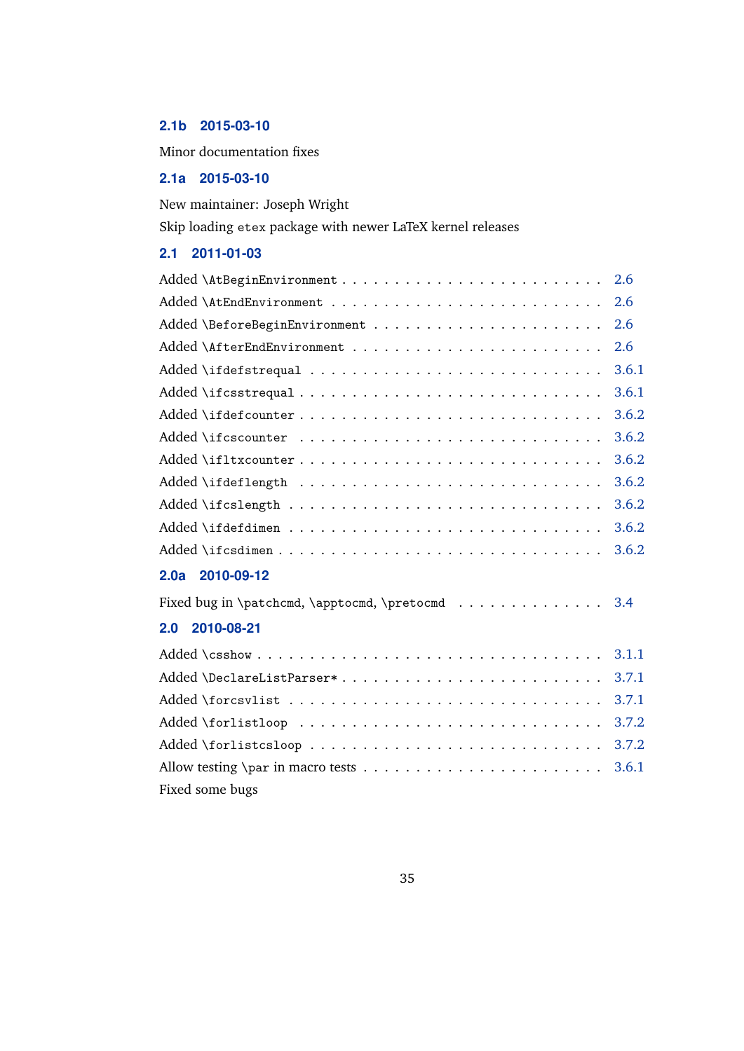# **2.1b 2015-03-10**

Minor documentation fixes

# **2.1a 2015-03-10**

New maintainer: Joseph Wright

Skip loading etex package with newer LaTeX kernel releases

# **2.1 2011-01-03**

|                                                  | 2.6   |
|--------------------------------------------------|-------|
|                                                  | 2.6   |
|                                                  | 2.6   |
|                                                  | 3.6.1 |
|                                                  | 3.6.1 |
|                                                  | 3.6.2 |
|                                                  | 3.6.2 |
|                                                  | 3.6.2 |
|                                                  | 3.6.2 |
|                                                  | 3.6.2 |
|                                                  | 3.6.2 |
| Added \ifcsdimen                                 | 3.6.2 |
| 2.0a 2010-09-12                                  |       |
| Fixed bug in \patchcmd, \apptocmd, \pretocmd 3.4 |       |
| 2010-08-21<br>2.0                                |       |
|                                                  | 3.1.1 |
| Added \DeclareListParser*                        | 3.7.1 |
|                                                  | 3.7.1 |
|                                                  | 3.7.2 |
|                                                  | 3.7.2 |
|                                                  | 3.6.1 |

Fixed some bugs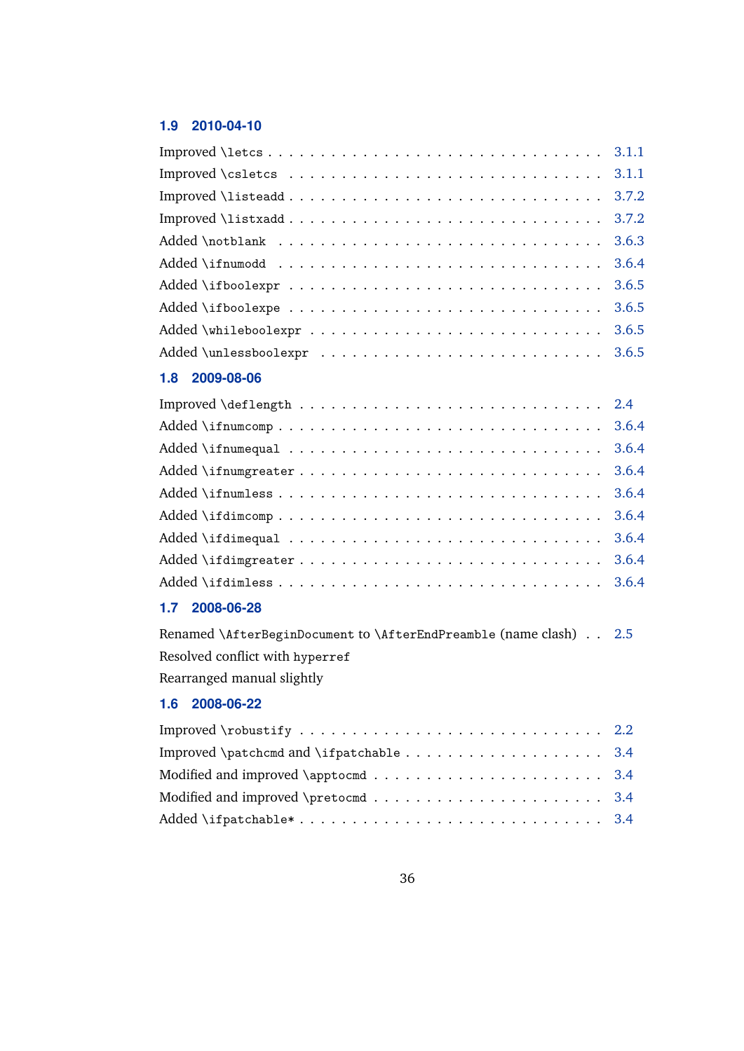# **1.9 2010-04-10**

|                                | 3.1.1 |
|--------------------------------|-------|
|                                | 3.7.2 |
|                                | 3.7.2 |
|                                | 3.6.3 |
|                                | 3.6.4 |
|                                | 3.6.5 |
|                                | 3.6.5 |
|                                | 3.6.5 |
|                                | 3.6.5 |
| 2009-08-06<br>1.8 <sub>1</sub> |       |
|                                | 2.4   |
|                                | 3.6.4 |
|                                | 3.6.4 |
|                                | 3.6.4 |
|                                | 3.6.4 |
| Added \ifdimcomp               | 3.6.4 |
|                                | 3.6.4 |
|                                | 3.6.4 |
|                                | 3.6.4 |
|                                |       |

# **1.7 2008-06-28**

| Renamed \AfterBeginDocument to \AfterEndPreamble (name clash) 2.5 |  |
|-------------------------------------------------------------------|--|
| Resolved conflict with hyperref                                   |  |
| Rearranged manual slightly                                        |  |

# **1.6 2008-06-22**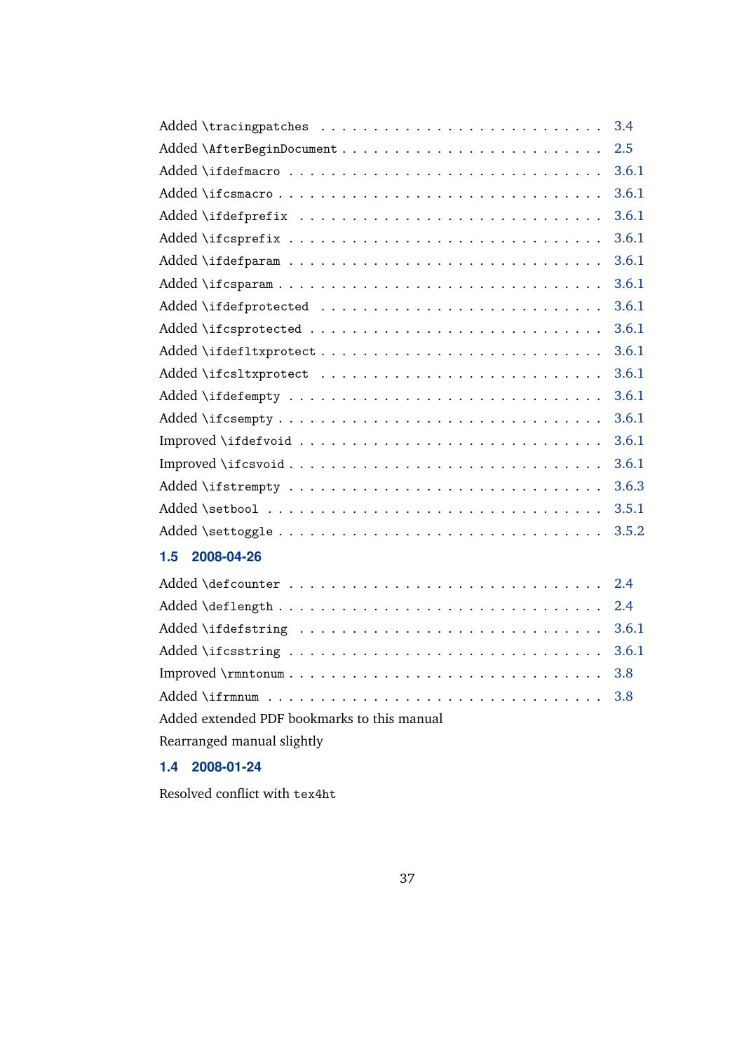|                                             | 3.4   |
|---------------------------------------------|-------|
|                                             | 2.5   |
|                                             | 3.6.1 |
|                                             | 3.6.1 |
|                                             | 3.6.1 |
|                                             | 3.6.1 |
|                                             | 3.6.1 |
|                                             | 3.6.1 |
|                                             | 3.6.1 |
|                                             | 3.6.1 |
|                                             | 3.6.1 |
|                                             | 3.6.1 |
|                                             | 3.6.1 |
|                                             | 3.6.1 |
|                                             | 3.6.1 |
|                                             | 3.6.1 |
|                                             | 3.6.3 |
|                                             | 3.5.1 |
|                                             | 3.5.2 |
| 1.5<br>2008-04-26                           |       |
|                                             | 2.4   |
|                                             | 2.4   |
|                                             | 3.6.1 |
|                                             | 3.6.1 |
|                                             | 3.8   |
|                                             | 3.8   |
| Added extended PDF bookmarks to this manual |       |

Rearranged manual slightly

# **1.4 2008-01-24**

Resolved conflict with tex4ht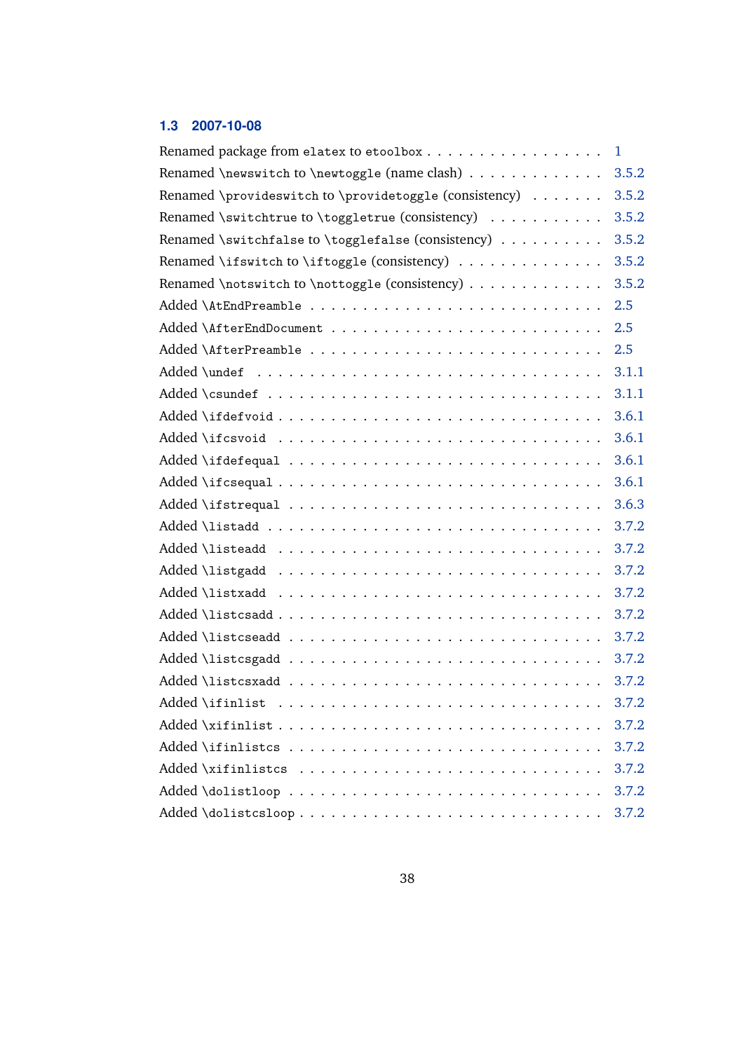# **1.3 2007-10-08**

|                                                        | $\mathbf{1}$ |
|--------------------------------------------------------|--------------|
| Renamed \newswitch to \newtoggle (name clash)          | 3.5.2        |
| Renamed \provideswitch to \providetoggle (consistency) | 3.5.2        |
| Renamed \switchtrue to \toggletrue (consistency)       | 3.5.2        |
| Renamed \switchfalse to \togglefalse (consistency)     | 3.5.2        |
| Renamed \ifswitch to \iftoggle (consistency)           | 3.5.2        |
| Renamed \notswitch to \nottoggle (consistency)         | 3.5.2        |
|                                                        | 2.5          |
|                                                        | 2.5          |
|                                                        | 2.5          |
|                                                        | 3.1.1        |
|                                                        | 3.1.1        |
|                                                        | 3.6.1        |
|                                                        | 3.6.1        |
|                                                        | 3.6.1        |
|                                                        | 3.6.1        |
|                                                        | 3.6.3        |
|                                                        | 3.7.2        |
|                                                        | 3.7.2        |
|                                                        | 3.7.2        |
|                                                        | 3.7.2        |
|                                                        | 3.7.2        |
|                                                        | 3.7.2        |
|                                                        | 3.7.2        |
|                                                        | 3.7.2        |
|                                                        | 3.7.2        |
|                                                        | 3.7.2        |
|                                                        | 3.7.2        |
|                                                        | 3.7.2        |
|                                                        | 3.7.2        |
| Added \dolistcsloop                                    | 3.7.2        |
|                                                        |              |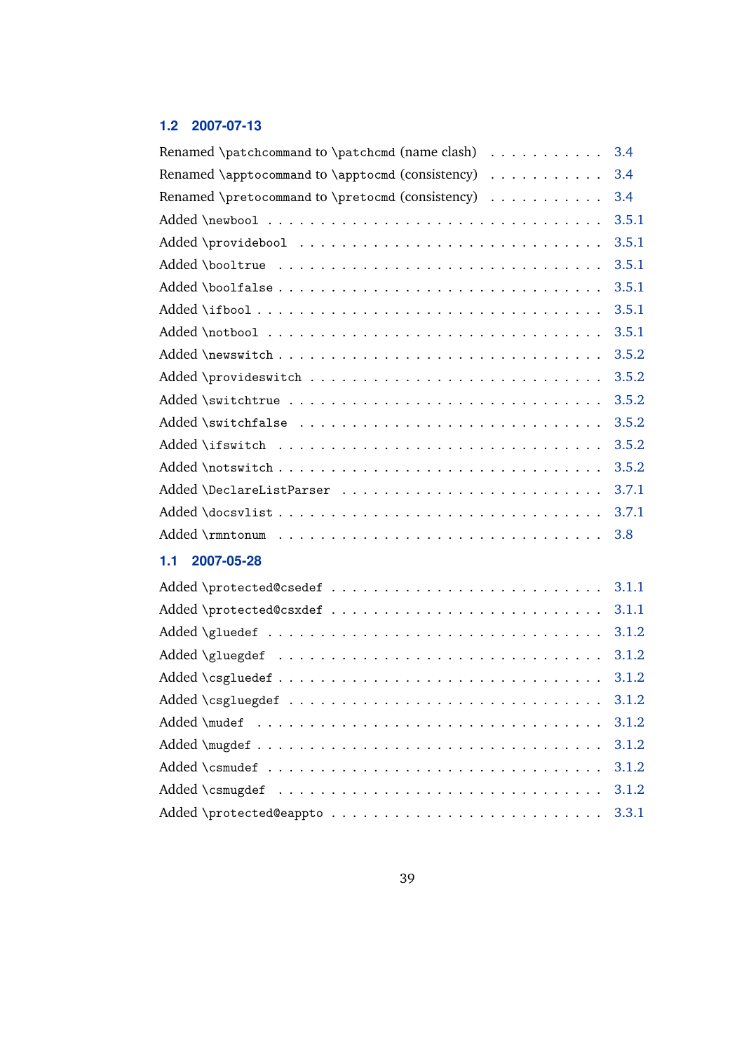# **1.2 2007-07-13**

| Renamed \patchcommand to \patchcmd (name clash) $\dots\dots\dots$  | 3.4   |
|--------------------------------------------------------------------|-------|
| Renamed \apptocommand to \apptocmd (consistency) $\dots\dots\dots$ | 3.4   |
| Renamed \pretocommand to \pretocmd (consistency) $\dots\dots\dots$ | 3.4   |
|                                                                    | 3.5.1 |
| Added \providebool                                                 | 3.5.1 |
| Added \booltrue                                                    | 3.5.1 |
|                                                                    | 3.5.1 |
|                                                                    | 3.5.1 |
|                                                                    | 3.5.1 |
|                                                                    | 3.5.2 |
|                                                                    | 3.5.2 |
|                                                                    | 3.5.2 |
| Added \switchfalse                                                 | 3.5.2 |
|                                                                    | 3.5.2 |
|                                                                    | 3.5.2 |
|                                                                    | 3.7.1 |
|                                                                    | 3.7.1 |
| Added \rmntonum                                                    | 3.8   |
| 1.1 2007-05-28                                                     |       |
|                                                                    |       |
|                                                                    | 3.1.1 |
|                                                                    | 3.1.2 |
| Added \g1uegdef                                                    | 3.1.2 |
|                                                                    |       |
|                                                                    | 3.1.2 |
|                                                                    | 3.1.2 |
|                                                                    | 3.1.2 |
| Added \csmudef                                                     | 3.1.2 |
|                                                                    | 3.1.2 |
|                                                                    | 3.3.1 |